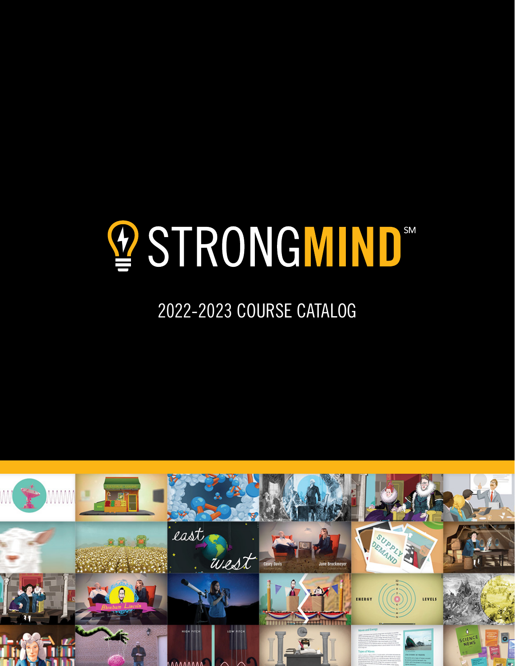# **STRONGMIND®**

## 2022-2023 COURSE CATALOG

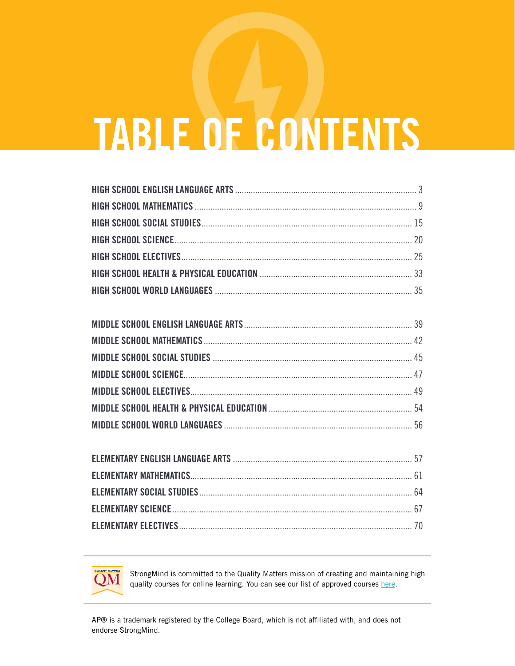# **TABLE OF CONTENTS**



StrongMind is committed to the Quality Matters mission of creating and maintaining high quality courses for online learning. You can see our list of approved courses here.

AP® is a trademark registered by the College Board, which is not affiliated with, and does not endorse StrongMind.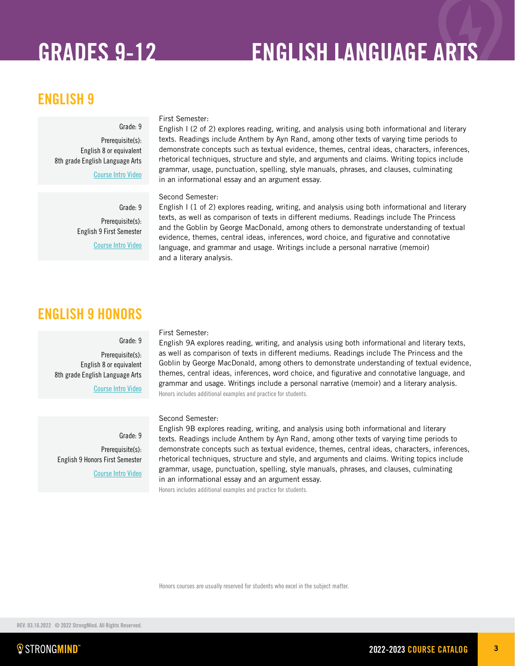## GRADES 9-12 ENGLISH LANGUAGE ARTS

## ENGLISH 9

### Grade: 9

Prerequisite(s): English 8 or equivalent 8th grade English Language Arts

[Course Intro Video](https://vimeo.com/341406762)

Grade: 9 Prerequisite(s): English 9 First Semester

[Course Intro Video](https://vimeo.com/341407078)

## ENGLISH 9 HONORS

### Grade: 9

Prerequisite(s): English 8 or equivalent 8th grade English Language Arts

[Course Intro Video](https://vimeo.com/279891030)

Grade: 9 Prerequisite(s): English 9 Honors First Semester [Course Intro Video](https://vimeo.com/289771396)

### First Semester:

First Semester:

Second Semester:

and a literary analysis.

in an informational essay and an argument essay.

English 9A explores reading, writing, and analysis using both informational and literary texts, as well as comparison of texts in different mediums. Readings include The Princess and the Goblin by George MacDonald, among others to demonstrate understanding of textual evidence, themes, central ideas, inferences, word choice, and figurative and connotative language, and grammar and usage. Writings include a personal narrative (memoir) and a literary analysis. Honors includes additional examples and practice for students.

English I (2 of 2) explores reading, writing, and analysis using both informational and literary texts. Readings include Anthem by Ayn Rand, among other texts of varying time periods to demonstrate concepts such as textual evidence, themes, central ideas, characters, inferences, rhetorical techniques, structure and style, and arguments and claims. Writing topics include grammar, usage, punctuation, spelling, style manuals, phrases, and clauses, culminating

English I (1 of 2) explores reading, writing, and analysis using both informational and literary texts, as well as comparison of texts in different mediums. Readings include The Princess and the Goblin by George MacDonald, among others to demonstrate understanding of textual evidence, themes, central ideas, inferences, word choice, and figurative and connotative language, and grammar and usage. Writings include a personal narrative (memoir)

### Second Semester:

English 9B explores reading, writing, and analysis using both informational and literary texts. Readings include Anthem by Ayn Rand, among other texts of varying time periods to demonstrate concepts such as textual evidence, themes, central ideas, characters, inferences, rhetorical techniques, structure and style, and arguments and claims. Writing topics include grammar, usage, punctuation, spelling, style manuals, phrases, and clauses, culminating in an informational essay and an argument essay.

Honors includes additional examples and practice for students.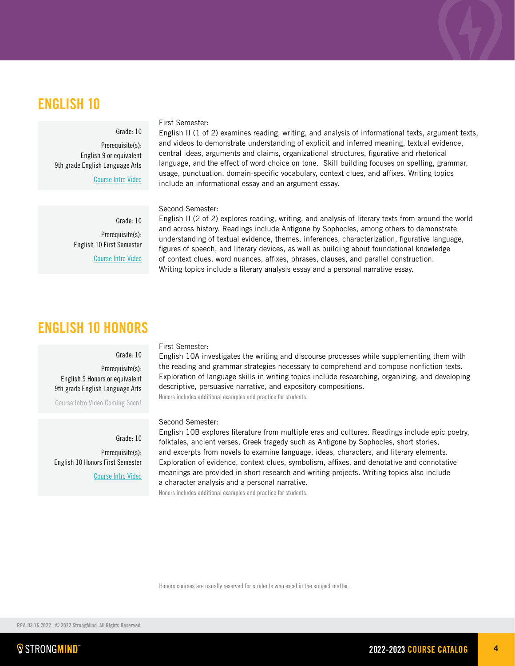## ENGLISH 10

### Grade: 10

Prerequisite(s): English 9 or equivalent 9th grade English Language Arts

[Course Intro Video](https://vimeo.com/345568636)

English II (1 of 2) examines reading, writing, and analysis of informational texts, argument texts, and videos to demonstrate understanding of explicit and inferred meaning, textual evidence, central ideas, arguments and claims, organizational structures, figurative and rhetorical language, and the effect of word choice on tone. Skill building focuses on spelling, grammar, usage, punctuation, domain-specific vocabulary, context clues, and affixes. Writing topics include an informational essay and an argument essay.

### Second Semester:

First Semester:

Grade: 10 Prerequisite(s): English 10 First Semester [Course Intro Video](https://vimeo.com/345078042)

English II (2 of 2) explores reading, writing, and analysis of literary texts from around the world and across history. Readings include Antigone by Sophocles, among others to demonstrate understanding of textual evidence, themes, inferences, characterization, figurative language, figures of speech, and literary devices, as well as building about foundational knowledge of context clues, word nuances, affixes, phrases, clauses, and parallel construction. Writing topics include a literary analysis essay and a personal narrative essay.

## ENGLISH 10 HONORS

### Grade: 10

Prerequisite(s): English 9 Honors or equivalent 9th grade English Language Arts Course Intro Video Coming Soon!

Grade: 10 Prerequisite(s): English 10 Honors First Semester [Course Intro Video](https://vimeo.com/269236424)

### First Semester:

English 10A investigates the writing and discourse processes while supplementing them with the reading and grammar strategies necessary to comprehend and compose nonfiction texts. Exploration of language skills in writing topics include researching, organizing, and developing descriptive, persuasive narrative, and expository compositions.

Honors includes additional examples and practice for students.

### Second Semester:

English 10B explores literature from multiple eras and cultures. Readings include epic poetry, folktales, ancient verses, Greek tragedy such as Antigone by Sophocles, short stories, and excerpts from novels to examine language, ideas, characters, and literary elements. Exploration of evidence, context clues, symbolism, affixes, and denotative and connotative meanings are provided in short research and writing projects. Writing topics also include a character analysis and a personal narrative.

Honors includes additional examples and practice for students.

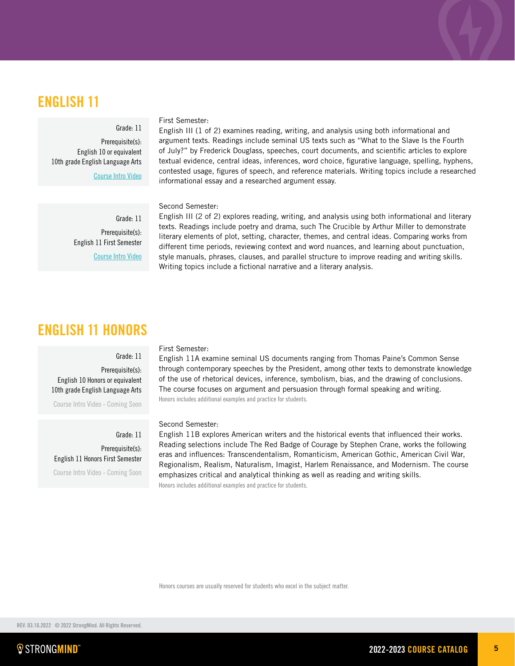### ENGLISH 11

### Grade: 11

Prerequisite(s): English 10 or equivalent 10th grade English Language Arts

[Course Intro Video](https://vimeo.com/347191969)

### First Semester:

English III (1 of 2) examines reading, writing, and analysis using both informational and argument texts. Readings include seminal US texts such as "What to the Slave Is the Fourth of July?" by Frederick Douglass, speeches, court documents, and scientific articles to explore textual evidence, central ideas, inferences, word choice, figurative language, spelling, hyphens, contested usage, figures of speech, and reference materials. Writing topics include a researched informational essay and a researched argument essay.

### Second Semester:

Grade: 11 Prerequisite(s): English 11 First Semester [Course Intro Video](https://vimeo.com/348265014)

English III (2 of 2) explores reading, writing, and analysis using both informational and literary texts. Readings include poetry and drama, such The Crucible by Arthur Miller to demonstrate literary elements of plot, setting, character, themes, and central ideas. Comparing works from different time periods, reviewing context and word nuances, and learning about punctuation, style manuals, phrases, clauses, and parallel structure to improve reading and writing skills. Writing topics include a fictional narrative and a literary analysis.

### ENGLISH 11 HONORS

### Grade: 11

Prerequisite(s): English 10 Honors or equivalent 10th grade English Language Arts

Course Intro Video - Coming Soon

Grade: 11 Prerequisite(s): English 11 Honors First Semester

Course Intro Video - Coming Soon

### First Semester:

English 11A examine seminal US documents ranging from Thomas Paine's Common Sense through contemporary speeches by the President, among other texts to demonstrate knowledge of the use of rhetorical devices, inference, symbolism, bias, and the drawing of conclusions. The course focuses on argument and persuasion through formal speaking and writing. Honors includes additional examples and practice for students.

### Second Semester:

English 11B explores American writers and the historical events that influenced their works. Reading selections include The Red Badge of Courage by Stephen Crane, works the following eras and influences: Transcendentalism, Romanticism, American Gothic, American Civil War, Regionalism, Realism, Naturalism, Imagist, Harlem Renaissance, and Modernism. The course emphasizes critical and analytical thinking as well as reading and writing skills. Honors includes additional examples and practice for students.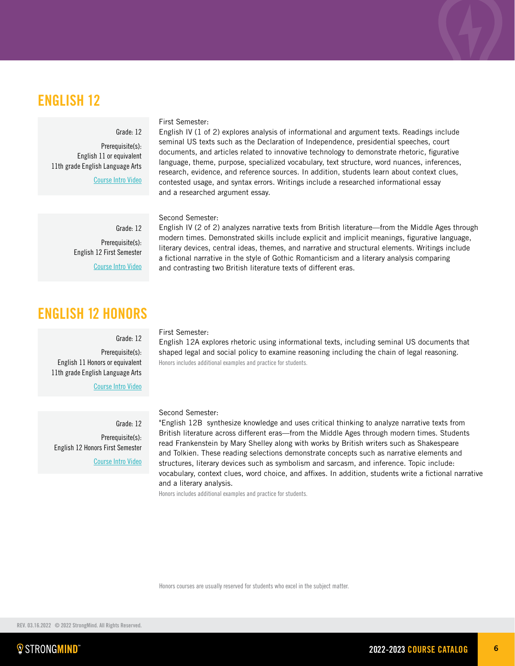## ENGLISH 12

### Grade: 12

Prerequisite(s): English 11 or equivalent 11th grade English Language Arts

[Course Intro Video](https://vimeo.com/350828571)

### First Semester:

English IV (1 of 2) explores analysis of informational and argument texts. Readings include seminal US texts such as the Declaration of Independence, presidential speeches, court documents, and articles related to innovative technology to demonstrate rhetoric, figurative language, theme, purpose, specialized vocabulary, text structure, word nuances, inferences, research, evidence, and reference sources. In addition, students learn about context clues, contested usage, and syntax errors. Writings include a researched informational essay and a researched argument essay.

English IV (2 of 2) analyzes narrative texts from British literature—from the Middle Ages through modern times. Demonstrated skills include explicit and implicit meanings, figurative language, literary devices, central ideas, themes, and narrative and structural elements. Writings include a fictional narrative in the style of Gothic Romanticism and a literary analysis comparing

### Second Semester:

Grade: 12 Prerequisite(s): English 12 First Semester [Course Intro Video](https://vimeo.com/222869266)

## ENGLISH 12 HONORS

### Grade: 12

Prerequisite(s): English 11 Honors or equivalent 11th grade English Language Arts

[Course Intro Video](http://vimeo.com/222869252)

Grade: 12 Prerequisite(s): English 12 Honors First Semester [Course Intro Video](https://vimeo.com/222869266)

### First Semester:

English 12A explores rhetoric using informational texts, including seminal US documents that shaped legal and social policy to examine reasoning including the chain of legal reasoning. Honors includes additional examples and practice for students.

### Second Semester:

"English 12B synthesize knowledge and uses critical thinking to analyze narrative texts from British literature across different eras—from the Middle Ages through modern times. Students read Frankenstein by Mary Shelley along with works by British writers such as Shakespeare and Tolkien. These reading selections demonstrate concepts such as narrative elements and structures, literary devices such as symbolism and sarcasm, and inference. Topic include: vocabulary, context clues, word choice, and affixes. In addition, students write a fictional narrative and a literary analysis.

Honors includes additional examples and practice for students.

Honors courses are usually reserved for students who excel in the subject matter.

and contrasting two British literature texts of different eras.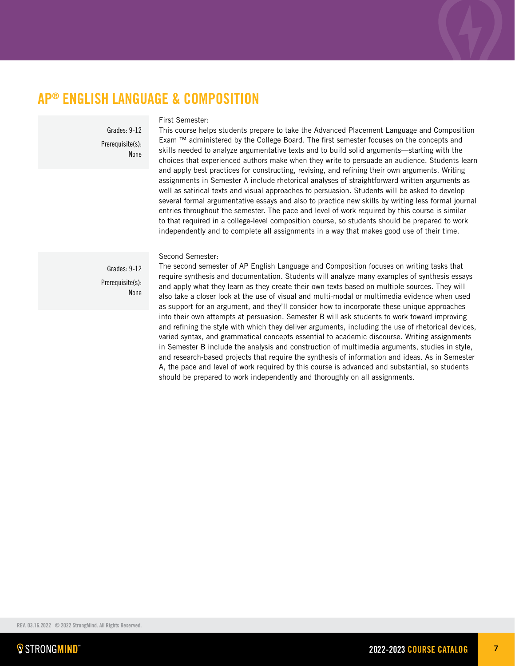## AP® ENGLISH LANGUAGE & COMPOSITION

Grades: 9-12 Prerequisite(s): None

### First Semester:

This course helps students prepare to take the Advanced Placement Language and Composition Exam ™ administered by the College Board. The first semester focuses on the concepts and skills needed to analyze argumentative texts and to build solid arguments—starting with the choices that experienced authors make when they write to persuade an audience. Students learn and apply best practices for constructing, revising, and refining their own arguments. Writing assignments in Semester A include rhetorical analyses of straightforward written arguments as well as satirical texts and visual approaches to persuasion. Students will be asked to develop several formal argumentative essays and also to practice new skills by writing less formal journal entries throughout the semester. The pace and level of work required by this course is similar to that required in a college-level composition course, so students should be prepared to work independently and to complete all assignments in a way that makes good use of their time.

Second Semester:

Grades: 9-12 Prerequisite(s): None

The second semester of AP English Language and Composition focuses on writing tasks that require synthesis and documentation. Students will analyze many examples of synthesis essays and apply what they learn as they create their own texts based on multiple sources. They will also take a closer look at the use of visual and multi-modal or multimedia evidence when used as support for an argument, and they'll consider how to incorporate these unique approaches into their own attempts at persuasion. Semester B will ask students to work toward improving and refining the style with which they deliver arguments, including the use of rhetorical devices, varied syntax, and grammatical concepts essential to academic discourse. Writing assignments in Semester B include the analysis and construction of multimedia arguments, studies in style, and research-based projects that require the synthesis of information and ideas. As in Semester A, the pace and level of work required by this course is advanced and substantial, so students should be prepared to work independently and thoroughly on all assignments.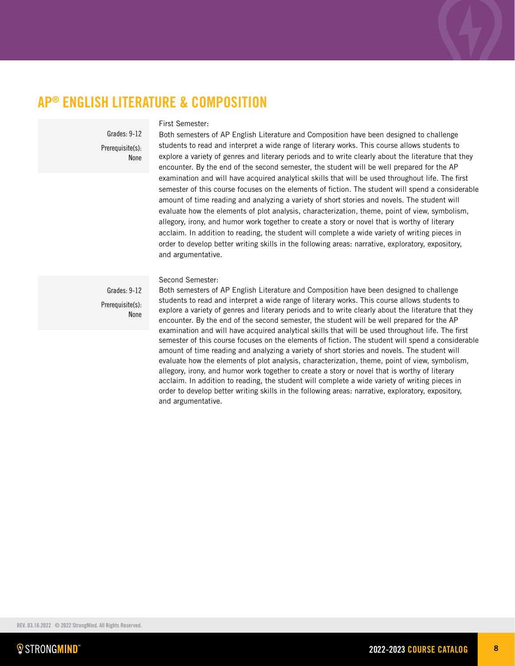## AP® ENGLISH LITERATURE & COMPOSITION

Grades: 9-12 Prerequisite(s): None

### First Semester:

Both semesters of AP English Literature and Composition have been designed to challenge students to read and interpret a wide range of literary works. This course allows students to explore a variety of genres and literary periods and to write clearly about the literature that they encounter. By the end of the second semester, the student will be well prepared for the AP examination and will have acquired analytical skills that will be used throughout life. The first semester of this course focuses on the elements of fiction. The student will spend a considerable amount of time reading and analyzing a variety of short stories and novels. The student will evaluate how the elements of plot analysis, characterization, theme, point of view, symbolism, allegory, irony, and humor work together to create a story or novel that is worthy of literary acclaim. In addition to reading, the student will complete a wide variety of writing pieces in order to develop better writing skills in the following areas: narrative, exploratory, expository, and argumentative.

Second Semester:

Grades: 9-12 Prerequisite(s): None

Both semesters of AP English Literature and Composition have been designed to challenge students to read and interpret a wide range of literary works. This course allows students to explore a variety of genres and literary periods and to write clearly about the literature that they encounter. By the end of the second semester, the student will be well prepared for the AP examination and will have acquired analytical skills that will be used throughout life. The first semester of this course focuses on the elements of fiction. The student will spend a considerable amount of time reading and analyzing a variety of short stories and novels. The student will evaluate how the elements of plot analysis, characterization, theme, point of view, symbolism, allegory, irony, and humor work together to create a story or novel that is worthy of literary acclaim. In addition to reading, the student will complete a wide variety of writing pieces in order to develop better writing skills in the following areas: narrative, exploratory, expository, and argumentative.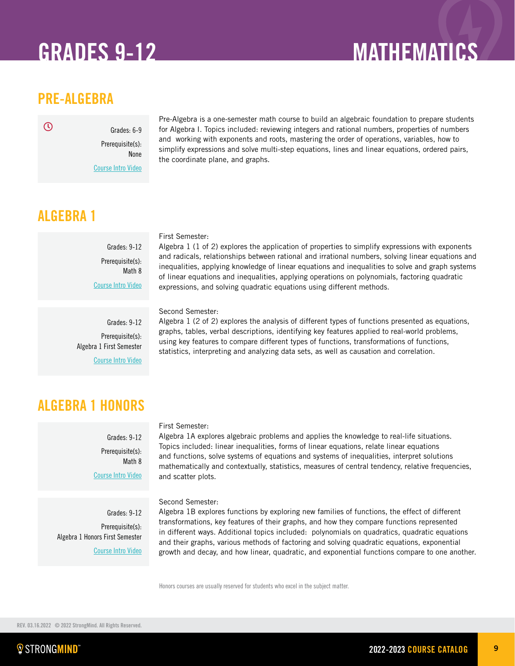## GRADES 9-12 MATHEMATICS

## PRE-ALGEBRA

 $\mathcal{O}$ 

Grades: 6-9 Prerequisite(s): None

[Course Intro Video](https://vimeo.com/304172267)

Pre-Algebra is a one-semester math course to build an algebraic foundation to prepare students for Algebra I. Topics included: reviewing integers and rational numbers, properties of numbers and working with exponents and roots, mastering the order of operations, variables, how to simplify expressions and solve multi-step equations, lines and linear equations, ordered pairs, the coordinate plane, and graphs.

## ALGEBRA 1

Grades: 9-12 Prerequisite(s): Math 8 [Course Intro Video](https://vimeo.com/319886647)

Grades: 9-12 Prerequisite(s): Algebra 1 First Semester [Course Intro Video](https://vimeo.com/326925682)

### First Semester:

Algebra 1 (1 of 2) explores the application of properties to simplify expressions with exponents and radicals, relationships between rational and irrational numbers, solving linear equations and inequalities, applying knowledge of linear equations and inequalities to solve and graph systems of linear equations and inequalities, applying operations on polynomials, factoring quadratic expressions, and solving quadratic equations using different methods.

Second Semester:

Algebra 1 (2 of 2) explores the analysis of different types of functions presented as equations, graphs, tables, verbal descriptions, identifying key features applied to real-world problems, using key features to compare different types of functions, transformations of functions, statistics, interpreting and analyzing data sets, as well as causation and correlation.

## ALGEBRA 1 HONORS

Grades: 9-12 Prerequisite(s): Math 8 [Course Intro Video](https://vimeo.com/270105838)

Grades: 9-12 Prerequisite(s): Algebra 1 Honors First Semester [Course Intro Video](https://vimeo.com/270105875)

### First Semester:

Algebra 1A explores algebraic problems and applies the knowledge to real-life situations. Topics included: linear inequalities, forms of linear equations, relate linear equations and functions, solve systems of equations and systems of inequalities, interpret solutions mathematically and contextually, statistics, measures of central tendency, relative frequencies, and scatter plots.

Second Semester:

Algebra 1B explores functions by exploring new families of functions, the effect of different transformations, key features of their graphs, and how they compare functions represented in different ways. Additional topics included: polynomials on quadratics, quadratic equations and their graphs, various methods of factoring and solving quadratic equations, exponential growth and decay, and how linear, quadratic, and exponential functions compare to one another.

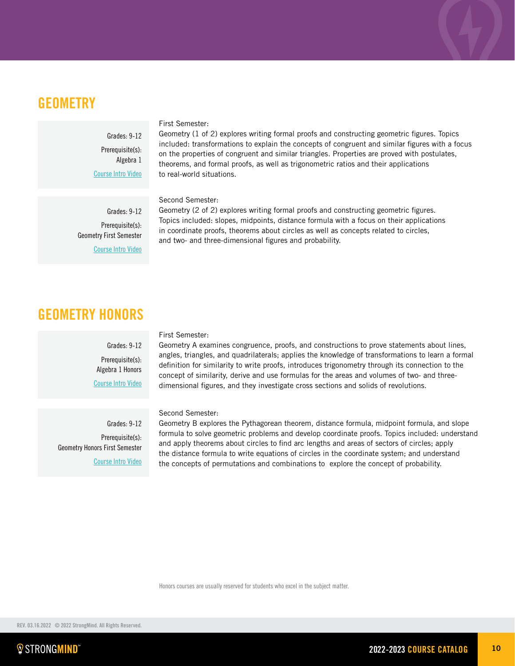### **GEOMETRY**

Grades: 9-12 Prerequisite(s): Algebra 1 [Course Intro Video](https://vimeo.com/340499736)

### First Semester:

Second Semester:

Geometry (1 of 2) explores writing formal proofs and constructing geometric figures. Topics included: transformations to explain the concepts of congruent and similar figures with a focus on the properties of congruent and similar triangles. Properties are proved with postulates, theorems, and formal proofs, as well as trigonometric ratios and their applications to real-world situations.

Grades: 9-12 Prerequisite(s): Geometry First Semester

[Course Intro Video](https://vimeo.com/345768143)

Geometry (2 of 2) explores writing formal proofs and constructing geometric figures. Topics included: slopes, midpoints, distance formula with a focus on their applications in coordinate proofs, theorems about circles as well as concepts related to circles, and two- and three-dimensional figures and probability.

## GEOMETRY HONORS

Grades: 9-12 Prerequisite(s): Algebra 1 Honors [Course Intro Video](http://vimeo.com/222869290)

Grades: 9-12 Prerequisite(s): Geometry Honors First Semester [Course Intro Video](http://vimeo.com/222869018)

### First Semester:

Geometry A examines congruence, proofs, and constructions to prove statements about lines, angles, triangles, and quadrilaterals; applies the knowledge of transformations to learn a formal definition for similarity to write proofs, introduces trigonometry through its connection to the concept of similarity, derive and use formulas for the areas and volumes of two- and threedimensional figures, and they investigate cross sections and solids of revolutions.

Second Semester:

Geometry B explores the Pythagorean theorem, distance formula, midpoint formula, and slope formula to solve geometric problems and develop coordinate proofs. Topics included: understand and apply theorems about circles to find arc lengths and areas of sectors of circles; apply the distance formula to write equations of circles in the coordinate system; and understand the concepts of permutations and combinations to explore the concept of probability.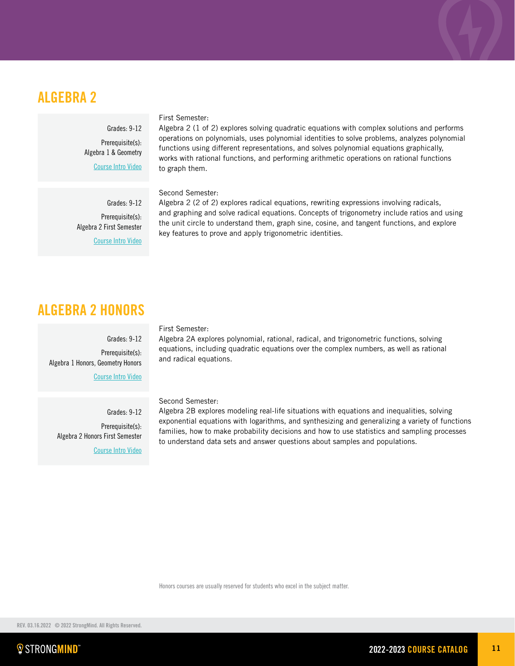## ALGEBRA 2

Grades: 9-12 Prerequisite(s): Algebra 1 & Geometry

[Course Intro Video](https://vimeo.com/313890530)

Grades: 9-12 Prerequisite(s): Algebra 2 First Semester [Course Intro Video](https://vimeo.com/313890564)

### First Semester:

Algebra 2 (1 of 2) explores solving quadratic equations with complex solutions and performs operations on polynomials, uses polynomial identities to solve problems, analyzes polynomial functions using different representations, and solves polynomial equations graphically, works with rational functions, and performing arithmetic operations on rational functions to graph them.

### Second Semester:

Algebra 2 (2 of 2) explores radical equations, rewriting expressions involving radicals, and graphing and solve radical equations. Concepts of trigonometry include ratios and using the unit circle to understand them, graph sine, cosine, and tangent functions, and explore key features to prove and apply trigonometric identities.

## ALGEBRA 2 HONORS

Grades: 9-12 Prerequisite(s): Algebra 1 Honors, Geometry Honors [Course Intro Video](http://vimeo.com/222869045)

Grades: 9-12 Prerequisite(s): Algebra 2 Honors First Semester [Course Intro Video](http://vimeo.com/222869066)

### First Semester:

Algebra 2A explores polynomial, rational, radical, and trigonometric functions, solving equations, including quadratic equations over the complex numbers, as well as rational and radical equations.

Second Semester:

Algebra 2B explores modeling real-life situations with equations and inequalities, solving exponential equations with logarithms, and synthesizing and generalizing a variety of functions families, how to make probability decisions and how to use statistics and sampling processes to understand data sets and answer questions about samples and populations.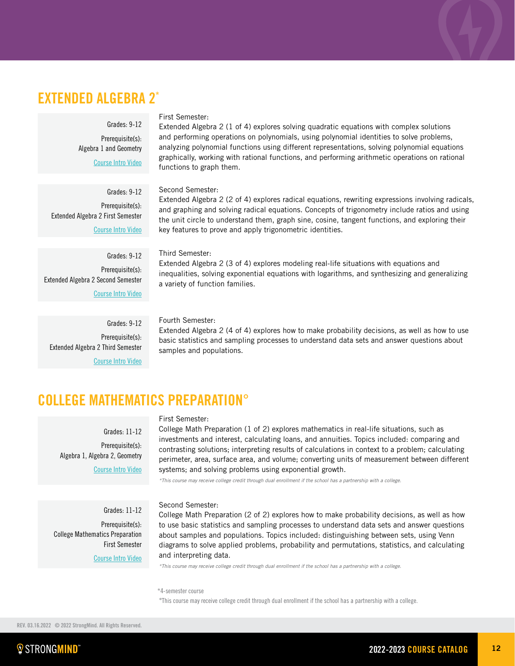## EXTENDED ALGEBRA 2\*

### Grades: 9-12

Prerequisite(s): Algebra 1 and Geometry [Course Intro Video](https://vimeo.com/313890530)

Grades: 9-12 Prerequisite(s): Extended Algebra 2 First Semester [Course Intro Video](https://vimeo.com/423346672/81faa96c0d)

Grades: 9-12 Prerequisite(s): Extended Algebra 2 Second Semester [Course Intro Video](https://vimeo.com/452349328)

Grades: 9-12 Prerequisite(s): Extended Algebra 2 Third Semester

[Course Intro Video](https://vimeo.com/449429522)

### First Semester:

Extended Algebra 2 (1 of 4) explores solving quadratic equations with complex solutions and performing operations on polynomials, using polynomial identities to solve problems, analyzing polynomial functions using different representations, solving polynomial equations graphically, working with rational functions, and performing arithmetic operations on rational functions to graph them.

### Second Semester:

Extended Algebra 2 (2 of 4) explores radical equations, rewriting expressions involving radicals, and graphing and solving radical equations. Concepts of trigonometry include ratios and using the unit circle to understand them, graph sine, cosine, tangent functions, and exploring their key features to prove and apply trigonometric identities.

### Third Semester:

Extended Algebra 2 (3 of 4) explores modeling real-life situations with equations and inequalities, solving exponential equations with logarithms, and synthesizing and generalizing a variety of function families.

Fourth Semester:

Extended Algebra 2 (4 of 4) explores how to make probability decisions, as well as how to use basic statistics and sampling processes to understand data sets and answer questions about samples and populations.

## COLLEGE MATHEMATICS PREPARATION°

Grades: 11-12 Prerequisite(s): Algebra 1, Algebra 2, Geometry [Course Intro Video](https://vimeo.com/319872234)

Grades: 11-12

### First Semester:

College Math Preparation (1 of 2) explores mathematics in real-life situations, such as investments and interest, calculating loans, and annuities. Topics included: comparing and contrasting solutions; interpreting results of calculations in context to a problem; calculating perimeter, area, surface area, and volume; converting units of measurement between different systems; and solving problems using exponential growth.

*\*This course may receive college credit through dual enrollment if the school has a partnership with a college.*

### Second Semester:

College Math Preparation (2 of 2) explores how to make probability decisions, as well as how to use basic statistics and sampling processes to understand data sets and answer questions about samples and populations. Topics included: distinguishing between sets, using Venn diagrams to solve applied problems, probability and permutations, statistics, and calculating and interpreting data. Prerequisite(s): College Mathematics Preparation First Semester [Course Intro Video](https://vimeo.com/319872454)

*\*This course may receive college credit through dual enrollment if the school has a partnership with a college.*

### \*4-semester course

°This course may receive college credit through dual enrollment if the school has a partnership with a college.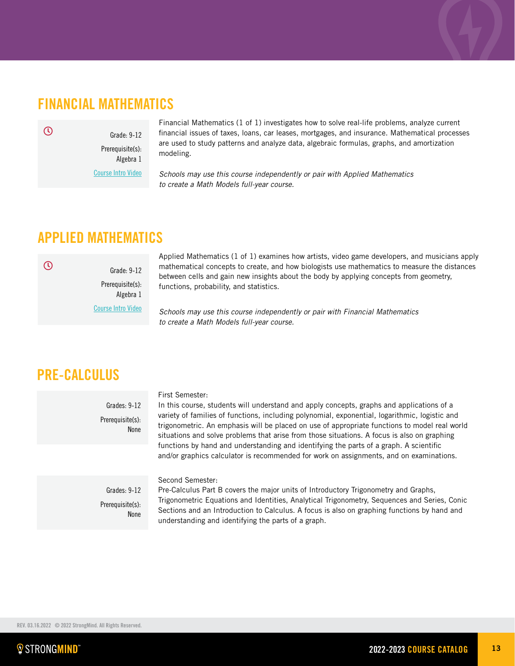## FINANCIAL MATHEMATICS

 $\mathcal{O}$ 

 $\overline{\mathcal{O}}$ 

Prerequisite(s): Algebra 1 [Course Intro Video](https://vimeo.com/353835656)

Grade: 9-12

Financial Mathematics (1 of 1) investigates how to solve real-life problems, analyze current financial issues of taxes, loans, car leases, mortgages, and insurance. Mathematical processes are used to study patterns and analyze data, algebraic formulas, graphs, and amortization modeling.

*Schools may use this course independently or pair with Applied Mathematics to create a Math Models full-year course.*

## APPLIED MATHEMATICS

Grade: 9-12 Prerequisite(s): Algebra 1 [Course Intro Video](https://vimeo.com/user62359637/review/359805727/c79212999f)

Applied Mathematics (1 of 1) examines how artists, video game developers, and musicians apply mathematical concepts to create, and how biologists use mathematics to measure the distances between cells and gain new insights about the body by applying concepts from geometry, functions, probability, and statistics.

*Schools may use this course independently or pair with Financial Mathematics to create a Math Models full-year course.*

## PRE-CALCULUS

Grades: 9-12 Prerequisite(s): None

### First Semester:

In this course, students will understand and apply concepts, graphs and applications of a variety of families of functions, including polynomial, exponential, logarithmic, logistic and trigonometric. An emphasis will be placed on use of appropriate functions to model real world situations and solve problems that arise from those situations. A focus is also on graphing functions by hand and understanding and identifying the parts of a graph. A scientific and/or graphics calculator is recommended for work on assignments, and on examinations.

Grades: 9-12 Prerequisite(s): None Second Semester:

Pre-Calculus Part B covers the major units of Introductory Trigonometry and Graphs, Trigonometric Equations and Identities, Analytical Trigonometry, Sequences and Series, Conic Sections and an Introduction to Calculus. A focus is also on graphing functions by hand and understanding and identifying the parts of a graph.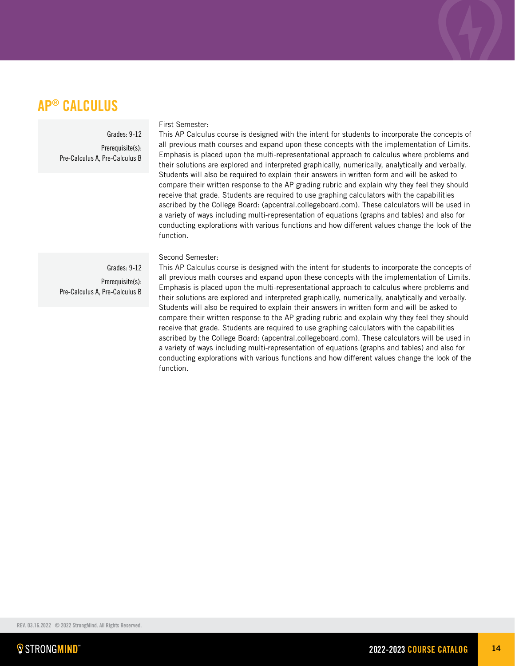## AP® CALCULUS

Grades: 9-12

Prerequisite(s): Pre-Calculus A, Pre-Calculus B

### First Semester:

This AP Calculus course is designed with the intent for students to incorporate the concepts of all previous math courses and expand upon these concepts with the implementation of Limits. Emphasis is placed upon the multi-representational approach to calculus where problems and their solutions are explored and interpreted graphically, numerically, analytically and verbally. Students will also be required to explain their answers in written form and will be asked to compare their written response to the AP grading rubric and explain why they feel they should receive that grade. Students are required to use graphing calculators with the capabilities ascribed by the College Board: (apcentral.collegeboard.com). These calculators will be used in a variety of ways including multi-representation of equations (graphs and tables) and also for conducting explorations with various functions and how different values change the look of the function.

### Second Semester:

Grades: 9-12 Prerequisite(s): Pre-Calculus A, Pre-Calculus B This AP Calculus course is designed with the intent for students to incorporate the concepts of all previous math courses and expand upon these concepts with the implementation of Limits. Emphasis is placed upon the multi-representational approach to calculus where problems and their solutions are explored and interpreted graphically, numerically, analytically and verbally. Students will also be required to explain their answers in written form and will be asked to compare their written response to the AP grading rubric and explain why they feel they should receive that grade. Students are required to use graphing calculators with the capabilities ascribed by the College Board: (apcentral.collegeboard.com). These calculators will be used in a variety of ways including multi-representation of equations (graphs and tables) and also for conducting explorations with various functions and how different values change the look of the function.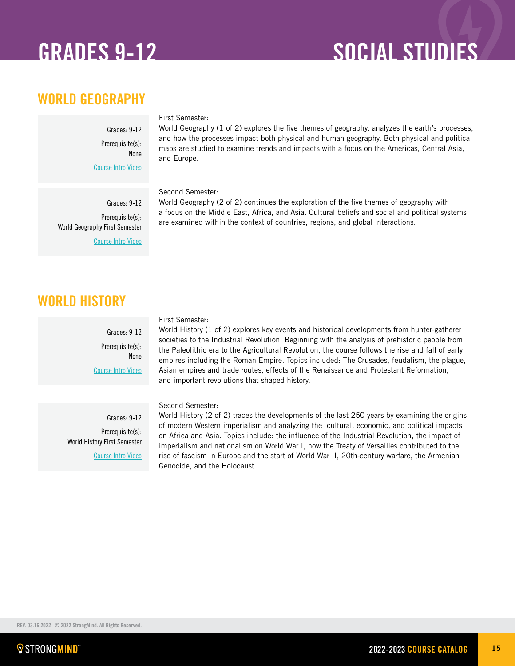## GRADES 9-12 SOCIAL STUDIES

## WORLD GEOGRAPHY

Grades: 9-12 Prerequisite(s): None [Course Intro Video](https://vimeo.com/389305851)

> Grades: 9-12 Prerequisite(s):

[Course Intro Video](https://vimeo.com/461864660/7ca2fc6257 )

World Geography First Semester

### First Semester:

World Geography (1 of 2) explores the five themes of geography, analyzes the earth's processes, and how the processes impact both physical and human geography. Both physical and political maps are studied to examine trends and impacts with a focus on the Americas, Central Asia, and Europe.

### Second Semester:

World Geography (2 of 2) continues the exploration of the five themes of geography with a focus on the Middle East, Africa, and Asia. Cultural beliefs and social and political systems are examined within the context of countries, regions, and global interactions.

## WORLD HISTORY

Grades: 9-12 Prerequisite(s): None [Course Intro Video](https://vimeo.com/316581024)

Grades: 9-12 Prerequisite(s): World History First Semester [Course Intro Video](https://vimeo.com/319951817)

### First Semester:

World History (1 of 2) explores key events and historical developments from hunter-gatherer societies to the Industrial Revolution. Beginning with the analysis of prehistoric people from the Paleolithic era to the Agricultural Revolution, the course follows the rise and fall of early empires including the Roman Empire. Topics included: The Crusades, feudalism, the plague, Asian empires and trade routes, effects of the Renaissance and Protestant Reformation, and important revolutions that shaped history.

### Second Semester:

World History (2 of 2) traces the developments of the last 250 years by examining the origins of modern Western imperialism and analyzing the cultural, economic, and political impacts on Africa and Asia. Topics include: the influence of the Industrial Revolution, the impact of imperialism and nationalism on World War I, how the Treaty of Versailles contributed to the rise of fascism in Europe and the start of World War II, 20th-century warfare, the Armenian Genocide, and the Holocaust.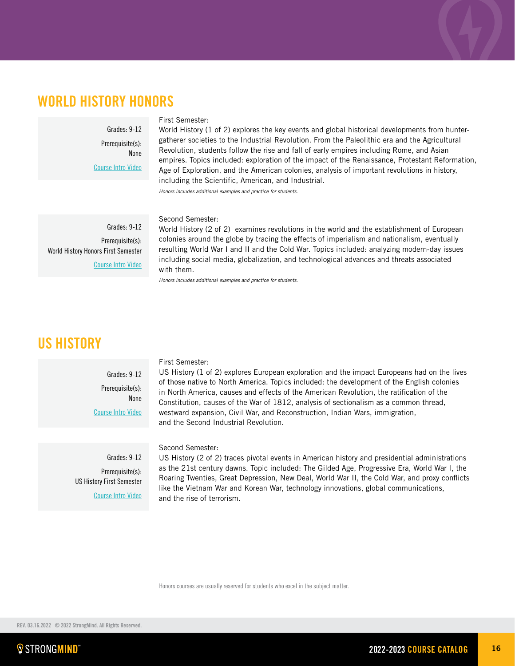## WORLD HISTORY HONORS

Grades: 9-12 Prerequisite(s): None [Course Intro Video](https://vimeo.com/222869161)

### First Semester:

World History (1 of 2) explores the key events and global historical developments from huntergatherer societies to the Industrial Revolution. From the Paleolithic era and the Agricultural Revolution, students follow the rise and fall of early empires including Rome, and Asian empires. Topics included: exploration of the impact of the Renaissance, Protestant Reformation, Age of Exploration, and the American colonies, analysis of important revolutions in history, including the Scientific, American, and Industrial.

*Honors includes additional examples and practice for students.*

Grades: 9-12 Prerequisite(s): World History Honors First Semester [Course Intro Video](https://vimeo.com/222869174)

### Second Semester:

World History (2 of 2) examines revolutions in the world and the establishment of European colonies around the globe by tracing the effects of imperialism and nationalism, eventually resulting World War I and II and the Cold War. Topics included: analyzing modern-day issues including social media, globalization, and technological advances and threats associated with them.

*Honors includes additional examples and practice for students.*

## US HISTORY

Grades: 9-12 Prerequisite(s): None [Course Intro Video](https://vimeo.com/322100629)

### First Semester:

US History (1 of 2) explores European exploration and the impact Europeans had on the lives of those native to North America. Topics included: the development of the English colonies in North America, causes and effects of the American Revolution, the ratification of the Constitution, causes of the War of 1812, analysis of sectionalism as a common thread, westward expansion, Civil War, and Reconstruction, Indian Wars, immigration, and the Second Industrial Revolution.

Grades: 9-12

Prerequisite(s): US History First Semester [Course Intro Video](https://vimeo.com/341588853) Second Semester:

US History (2 of 2) traces pivotal events in American history and presidential administrations as the 21st century dawns. Topic included: The Gilded Age, Progressive Era, World War I, the Roaring Twenties, Great Depression, New Deal, World War II, the Cold War, and proxy conflicts like the Vietnam War and Korean War, technology innovations, global communications, and the rise of terrorism.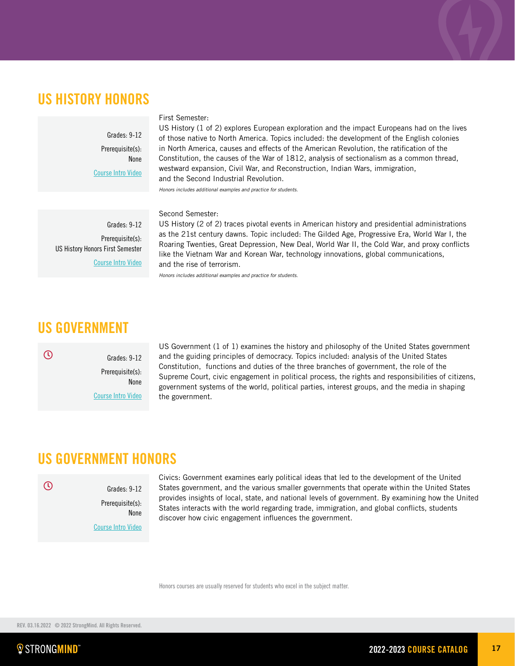## US HISTORY HONORS

Grades: 9-12 Prerequisite(s): None [Course Intro Video](https://vimeo.com/341588853)

### First Semester:

US History (1 of 2) explores European exploration and the impact Europeans had on the lives of those native to North America. Topics included: the development of the English colonies in North America, causes and effects of the American Revolution, the ratification of the Constitution, the causes of the War of 1812, analysis of sectionalism as a common thread, westward expansion, Civil War, and Reconstruction, Indian Wars, immigration, and the Second Industrial Revolution.

*Honors includes additional examples and practice for students.*

### Second Semester:

Grades: 9-12 Prerequisite(s): US History Honors First Semester [Course Intro Video](https://vimeo.com/222869204)

US History (2 of 2) traces pivotal events in American history and presidential administrations as the 21st century dawns. Topic included: The Gilded Age, Progressive Era, World War I, the Roaring Twenties, Great Depression, New Deal, World War II, the Cold War, and proxy conflicts like the Vietnam War and Korean War, technology innovations, global communications, and the rise of terrorism.

*Honors includes additional examples and practice for students.*

## US GOVERNMENT



Grades: 9-12 Prerequisite(s): None [Course Intro Video](https://vimeo.com/349688360)

US Government (1 of 1) examines the history and philosophy of the United States government and the guiding principles of democracy. Topics included: analysis of the United States Constitution, functions and duties of the three branches of government, the role of the Supreme Court, civic engagement in political process, the rights and responsibilities of citizens, government systems of the world, political parties, interest groups, and the media in shaping the government.

### US GOVERNMENT HONORS

### $\overline{O}$

Prerequisite(s): None [Course Intro Video](https://vimeo.com/349688360)

Grades: 9-12

Civics: Government examines early political ideas that led to the development of the United States government, and the various smaller governments that operate within the United States provides insights of local, state, and national levels of government. By examining how the United States interacts with the world regarding trade, immigration, and global conflicts, students discover how civic engagement influences the government.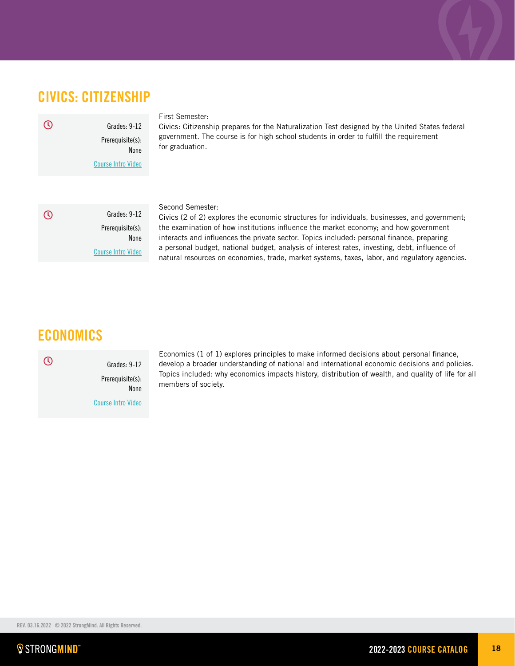## CIVICS: CITIZENSHIP

Grades: 9-12 Prerequisite(s): None [Course Intro Video](https://vimeo.com/250878666)  $\odot$ 

### First Semester:

Civics: Citizenship prepares for the Naturalization Test designed by the United States federal government. The course is for high school students in order to fulfill the requirement for graduation.

Grades: 9-12 Prerequisite(s): None [Course Intro Video](https://vimeo.com/461463754/6c8735728c)  $\odot$ 

### Second Semester:

Civics (2 of 2) explores the economic structures for individuals, businesses, and government; the examination of how institutions influence the market economy; and how government interacts and influences the private sector. Topics included: personal finance, preparing a personal budget, national budget, analysis of interest rates, investing, debt, influence of natural resources on economies, trade, market systems, taxes, labor, and regulatory agencies.

## ECONOMICS

Grades: 9-12 Prerequisite(s): None [Course Intro Video](https://vimeo.com/222869223)

Economics (1 of 1) explores principles to make informed decisions about personal finance, develop a broader understanding of national and international economic decisions and policies. Topics included: why economics impacts history, distribution of wealth, and quality of life for all members of society.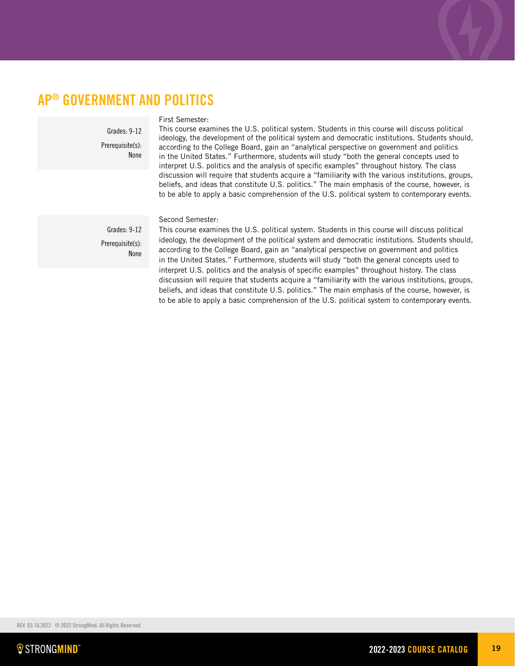## AP® GOVERNMENT AND POLITICS

Grades: 9-12 Prerequisite(s): None

### First Semester:

This course examines the U.S. political system. Students in this course will discuss political ideology, the development of the political system and democratic institutions. Students should, according to the College Board, gain an "analytical perspective on government and politics in the United States." Furthermore, students will study "both the general concepts used to interpret U.S. politics and the analysis of specific examples" throughout history. The class discussion will require that students acquire a "familiarity with the various institutions, groups, beliefs, and ideas that constitute U.S. politics." The main emphasis of the course, however, is to be able to apply a basic comprehension of the U.S. political system to contemporary events.

Second Semester:

Prerequisite(s): None

Grades: 9-12

This course examines the U.S. political system. Students in this course will discuss political ideology, the development of the political system and democratic institutions. Students should, according to the College Board, gain an "analytical perspective on government and politics in the United States." Furthermore, students will study "both the general concepts used to interpret U.S. politics and the analysis of specific examples" throughout history. The class discussion will require that students acquire a "familiarity with the various institutions, groups, beliefs, and ideas that constitute U.S. politics." The main emphasis of the course, however, is to be able to apply a basic comprehension of the U.S. political system to contemporary events.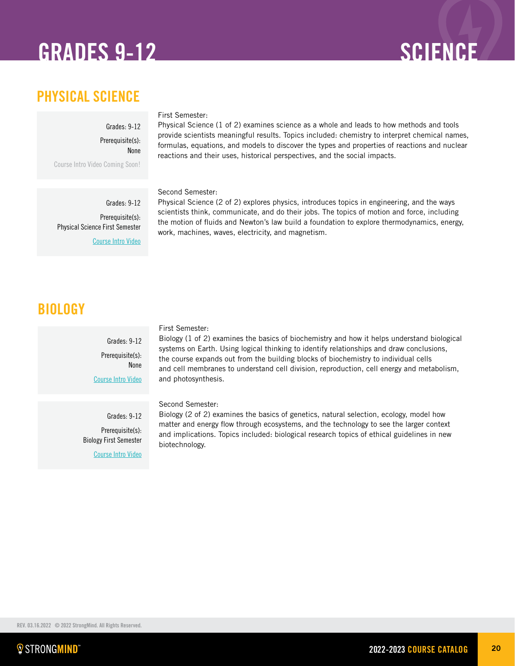## GRADES 9-12 SCIENCE

## PHYSICAL SCIENCE

Grades: 9-12 Prerequisite(s): None Course Intro Video Coming Soon!

Physical Science First Semester

Grades: 9-12 Prerequisite(s):

[Course Intro Video](https://vimeo.com/222869086)

### First Semester:

Physical Science (1 of 2) examines science as a whole and leads to how methods and tools provide scientists meaningful results. Topics included: chemistry to interpret chemical names, formulas, equations, and models to discover the types and properties of reactions and nuclear reactions and their uses, historical perspectives, and the social impacts.

Second Semester:

Physical Science (2 of 2) explores physics, introduces topics in engineering, and the ways scientists think, communicate, and do their jobs. The topics of motion and force, including the motion of fluids and Newton's law build a foundation to explore thermodynamics, energy, work, machines, waves, electricity, and magnetism.

## **BIOLOGY**

Grades: 9-12 Prerequisite(s): None [Course Intro Video](https://vimeo.com/315971236)

First Semester:

Biology (1 of 2) examines the basics of biochemistry and how it helps understand biological systems on Earth. Using logical thinking to identify relationships and draw conclusions, the course expands out from the building blocks of biochemistry to individual cells and cell membranes to understand cell division, reproduction, cell energy and metabolism, and photosynthesis.

Second Semester:

Grades: 9-12 Prerequisite(s): Biology First Semester [Course Intro Video](https://player.vimeo.com/video/318322512)

Biology (2 of 2) examines the basics of genetics, natural selection, ecology, model how matter and energy flow through ecosystems, and the technology to see the larger context and implications. Topics included: biological research topics of ethical guidelines in new biotechnology.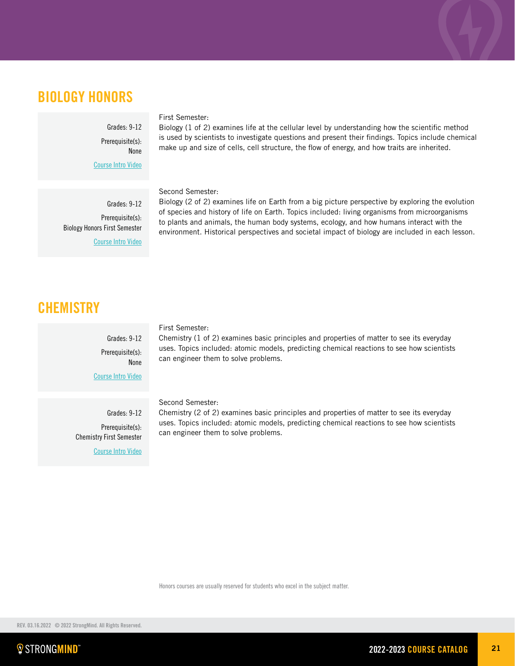## BIOLOGY HONORS

Grades: 9-12 Prerequisite(s): None

[Course Intro Video](https://vimeo.com/315971236)

Grades: 9-12 Prerequisite(s):

[Course Intro Video](https://vimeo.com/318322512)

Biology Honors First Semester

### First Semester:

Biology (1 of 2) examines life at the cellular level by understanding how the scientific method is used by scientists to investigate questions and present their findings. Topics include chemical make up and size of cells, cell structure, the flow of energy, and how traits are inherited.

Second Semester:

Biology (2 of 2) examines life on Earth from a big picture perspective by exploring the evolution of species and history of life on Earth. Topics included: living organisms from microorganisms to plants and animals, the human body systems, ecology, and how humans interact with the environment. Historical perspectives and societal impact of biology are included in each lesson.

## **CHEMISTRY**

Grades: 9-12 Prerequisite(s): None

[Course Intro Video](https://vimeo.com/316581077)

Grades: 9-12 Prerequisite(s): Chemistry First Semester [Course Intro Video](https://vimeo.com/336871722)

### First Semester:

Chemistry (1 of 2) examines basic principles and properties of matter to see its everyday uses. Topics included: atomic models, predicting chemical reactions to see how scientists can engineer them to solve problems.

Second Semester:

Chemistry (2 of 2) examines basic principles and properties of matter to see its everyday uses. Topics included: atomic models, predicting chemical reactions to see how scientists can engineer them to solve problems.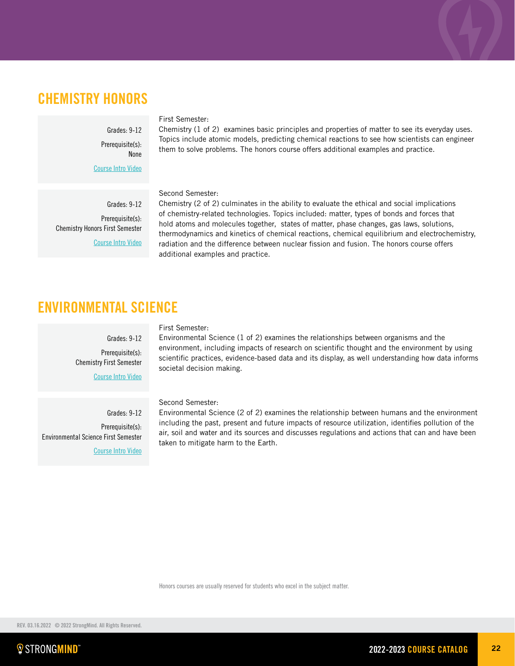## CHEMISTRY HONORS

Grades: 9-12 Prerequisite(s): None

[Course Intro Video](https://vimeo.com/316581077)

Grades: 9-12 Prerequisite(s): Chemistry Honors First Semester [Course Intro Video](https://vimeo.com/316581077)

### First Semester:

Chemistry (1 of 2) examines basic principles and properties of matter to see its everyday uses. Topics include atomic models, predicting chemical reactions to see how scientists can engineer them to solve problems. The honors course offers additional examples and practice.

### Second Semester:

Chemistry (2 of 2) culminates in the ability to evaluate the ethical and social implications of chemistry-related technologies. Topics included: matter, types of bonds and forces that hold atoms and molecules together, states of matter, phase changes, gas laws, solutions, thermodynamics and kinetics of chemical reactions, chemical equilibrium and electrochemistry, radiation and the difference between nuclear fission and fusion. The honors course offers additional examples and practice.

## ENVIRONMENTAL SCIENCE

Grades: 9-12 Prerequisite(s): **Chemistry First Semester** 

[Course Intro Video](https://vimeo.com/403795430/c5e4b4c21b)

Grades: 9-12 Prerequisite(s): Environmental Science First Semester [Course Intro Video](https://vimeo.com/user62359637/review/471170876/c28740e6ca)

### First Semester:

Environmental Science (1 of 2) examines the relationships between organisms and the environment, including impacts of research on scientific thought and the environment by using scientific practices, evidence-based data and its display, as well understanding how data informs societal decision making.

### Second Semester:

Environmental Science (2 of 2) examines the relationship between humans and the environment including the past, present and future impacts of resource utilization, identifies pollution of the air, soil and water and its sources and discusses regulations and actions that can and have been taken to mitigate harm to the Earth.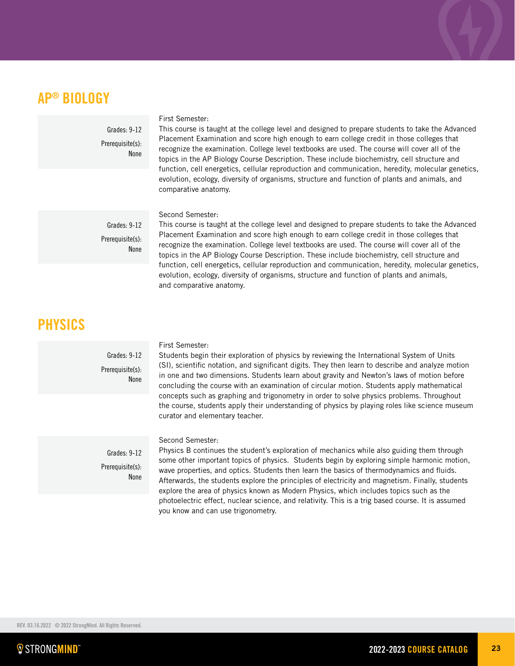## AP® BIOLOGY

Grades: 9-12 Prerequisite(s): None

### First Semester:

This course is taught at the college level and designed to prepare students to take the Advanced Placement Examination and score high enough to earn college credit in those colleges that recognize the examination. College level textbooks are used. The course will cover all of the topics in the AP Biology Course Description. These include biochemistry, cell structure and function, cell energetics, cellular reproduction and communication, heredity, molecular genetics, evolution, ecology, diversity of organisms, structure and function of plants and animals, and comparative anatomy.

Grades: 9-12 Prerequisite(s): None

### Second Semester:

This course is taught at the college level and designed to prepare students to take the Advanced Placement Examination and score high enough to earn college credit in those colleges that recognize the examination. College level textbooks are used. The course will cover all of the topics in the AP Biology Course Description. These include biochemistry, cell structure and function, cell energetics, cellular reproduction and communication, heredity, molecular genetics, evolution, ecology, diversity of organisms, structure and function of plants and animals, and comparative anatomy.

### PHYSICS

Grades: 9-12 Prerequisite(s): **None** 

### First Semester:

Students begin their exploration of physics by reviewing the International System of Units (SI), scientific notation, and significant digits. They then learn to describe and analyze motion in one and two dimensions. Students learn about gravity and Newton's laws of motion before concluding the course with an examination of circular motion. Students apply mathematical concepts such as graphing and trigonometry in order to solve physics problems. Throughout the course, students apply their understanding of physics by playing roles like science museum curator and elementary teacher.

Grades: 9-12 Prerequisite(s): None

### Second Semester:

Physics B continues the student's exploration of mechanics while also guiding them through some other important topics of physics. Students begin by exploring simple harmonic motion, wave properties, and optics. Students then learn the basics of thermodynamics and fluids. Afterwards, the students explore the principles of electricity and magnetism. Finally, students explore the area of physics known as Modern Physics, which includes topics such as the photoelectric effect, nuclear science, and relativity. This is a trig based course. It is assumed you know and can use trigonometry.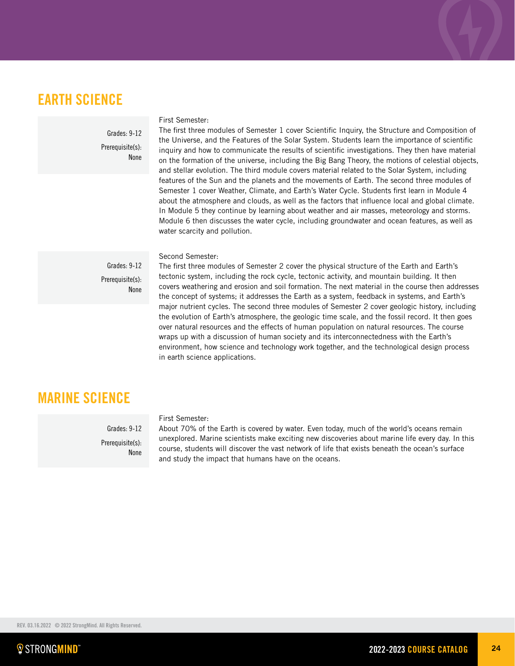## EARTH SCIENCE

Grades: 9-12 Prerequisite(s): None

### First Semester:

The first three modules of Semester 1 cover Scientific Inquiry, the Structure and Composition of the Universe, and the Features of the Solar System. Students learn the importance of scientific inquiry and how to communicate the results of scientific investigations. They then have material on the formation of the universe, including the Big Bang Theory, the motions of celestial objects, and stellar evolution. The third module covers material related to the Solar System, including features of the Sun and the planets and the movements of Earth. The second three modules of Semester 1 cover Weather, Climate, and Earth's Water Cycle. Students first learn in Module 4 about the atmosphere and clouds, as well as the factors that influence local and global climate. In Module 5 they continue by learning about weather and air masses, meteorology and storms. Module 6 then discusses the water cycle, including groundwater and ocean features, as well as water scarcity and pollution.

Second Semester:

Grades: 9-12 Prerequisite(s): None

The first three modules of Semester 2 cover the physical structure of the Earth and Earth's tectonic system, including the rock cycle, tectonic activity, and mountain building. It then covers weathering and erosion and soil formation. The next material in the course then addresses the concept of systems; it addresses the Earth as a system, feedback in systems, and Earth's major nutrient cycles. The second three modules of Semester 2 cover geologic history, including the evolution of Earth's atmosphere, the geologic time scale, and the fossil record. It then goes over natural resources and the effects of human population on natural resources. The course wraps up with a discussion of human society and its interconnectedness with the Earth's environment, how science and technology work together, and the technological design process in earth science applications.

## MARINE SCIENCE

Grades: 9-12 Prerequisite(s): **None** 

### First Semester:

About 70% of the Earth is covered by water. Even today, much of the world's oceans remain unexplored. Marine scientists make exciting new discoveries about marine life every day. In this course, students will discover the vast network of life that exists beneath the ocean's surface and study the impact that humans have on the oceans.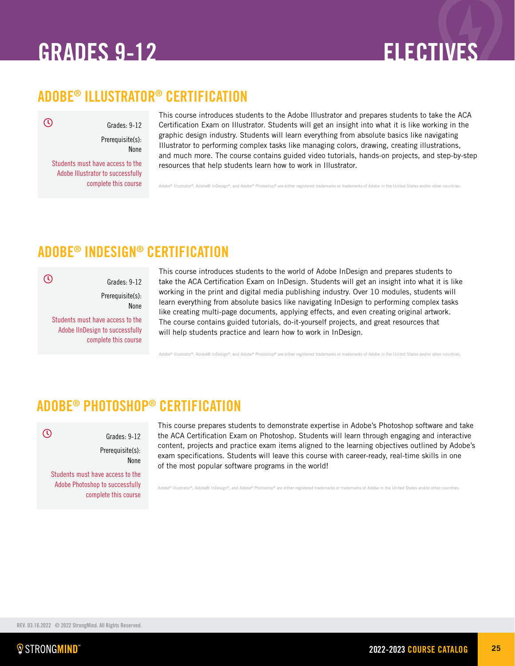## <span id="page-24-0"></span>GRADES 9-12 ELECTIVES

## ADOBE® ILLUSTRATOR® CERTIFICATION

 $\mathcal{O}$ 

 $\overline{O}$ 

 $\overline{O}$ 

Grades: 9-12 Prerequisite(s):

None

Students must have access to the Adobe Illustrator to successfully complete this course

This course introduces students to the Adobe Illustrator and prepares students to take the ACA Certification Exam on Illustrator. Students will get an insight into what it is like working in the graphic design industry. Students will learn everything from absolute basics like navigating Illustrator to performing complex tasks like managing colors, drawing, creating illustrations, and much more. The course contains guided video tutorials, hands-on projects, and step-by-step resources that help students learn how to work in Illustrator.

 $\overline{\text{A}}$  and a ither registered trademarks or trademarks of Adobe in the United States and/or other countries.

## ADOBE® INDESIGN® CERTIFICATION

None

Grades: 9-12 Prerequisite(s):

Students must have access to the Adobe IlnDesign to successfully complete this course

This course introduces students to the world of Adobe InDesign and prepares students to take the ACA Certification Exam on InDesign. Students will get an insight into what it is like working in the print and digital media publishing industry. Over 10 modules, students will learn everything from absolute basics like navigating InDesign to performing complex tasks like creating multi-page documents, applying effects, and even creating original artwork. The course contains guided tutorials, do-it-yourself projects, and great resources that will help students practice and learn how to work in InDesign.

or®, Adobe® InDesign®, and Adobe® Photoshop® are either registered trademarks or trademarks of Adobe in the United States a

## ADOBE® PHOTOSHOP® CERTIFICATION

Grades: 9-12 Prerequisite(s): None Students must have access to the

Adobe Photoshop to successfully complete this course This course prepares students to demonstrate expertise in Adobe's Photoshop software and take the ACA Certification Exam on Photoshop. Students will learn through engaging and interactive content, projects and practice exam items aligned to the learning objectives outlined by Adobe's exam specifications. Students will leave this course with career-ready, real‐time skills in one of the most popular software programs in the world!

 $\theta$  and  $\theta$  and  $\theta$  is an originate trademarks or trademarks of Adobe in the United States and  $\theta$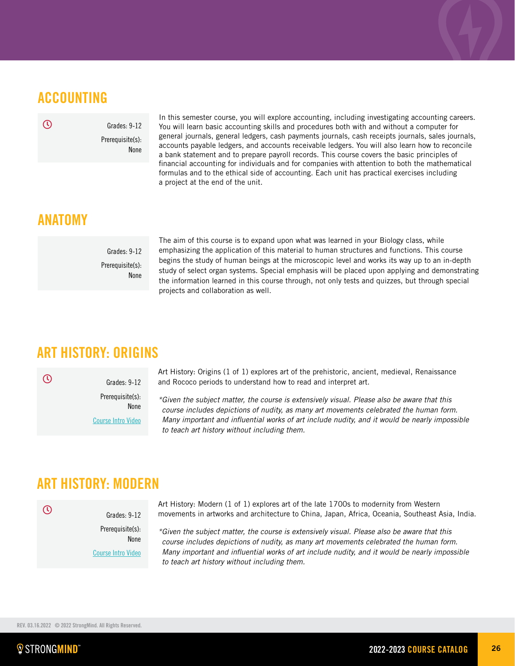## ACCOUNTING

 $\odot$ 

Grades: 9-12 Prerequisite(s): None

In this semester course, you will explore accounting, including investigating accounting careers. You will learn basic accounting skills and procedures both with and without a computer for general journals, general ledgers, cash payments journals, cash receipts journals, sales journals, accounts payable ledgers, and accounts receivable ledgers. You will also learn how to reconcile a bank statement and to prepare payroll records. This course covers the basic principles of financial accounting for individuals and for companies with attention to both the mathematical formulas and to the ethical side of accounting. Each unit has practical exercises including a project at the end of the unit.

### ANATOMY

Grades: 9-12 Prerequisite(s): None

The aim of this course is to expand upon what was learned in your Biology class, while emphasizing the application of this material to human structures and functions. This course begins the study of human beings at the microscopic level and works its way up to an in-depth study of select organ systems. Special emphasis will be placed upon applying and demonstrating the information learned in this course through, not only tests and quizzes, but through special projects and collaboration as well.

## ART HISTORY: ORIGINS

 $\odot$ 

 $\odot$ 

Prerequisite(s): None [Course Intro Video](https://vimeo.com/223527603)

Grades: 9-12

Art History: Origins (1 of 1) explores art of the prehistoric, ancient, medieval, Renaissance and Rococo periods to understand how to read and interpret art.

*\*Given the subject matter, the course is extensively visual. Please also be aware that this course includes depictions of nudity, as many art movements celebrated the human form. Many important and influential works of art include nudity, and it would be nearly impossible to teach art history without including them.*

## ART HISTORY: MODERN

Grades: 9-12 Prerequisite(s):

[Course Intro Video](https://vimeo.com/259249092)

None

Art History: Modern (1 of 1) explores art of the late 1700s to modernity from Western movements in artworks and architecture to China, Japan, Africa, Oceania, Southeast Asia, India.

*\*Given the subject matter, the course is extensively visual. Please also be aware that this course includes depictions of nudity, as many art movements celebrated the human form. Many important and influential works of art include nudity, and it would be nearly impossible to teach art history without including them.*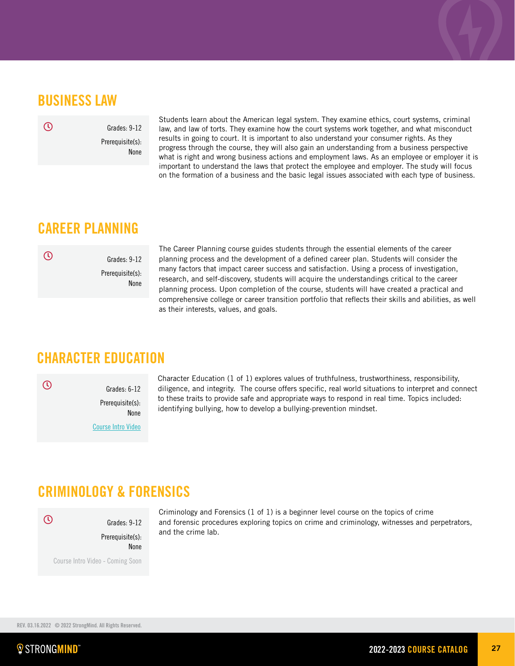## BUSINESS LAW

 $\mathcal{O}$ 

Grades: 9-12 Prerequisite(s): None

Students learn about the American legal system. They examine ethics, court systems, criminal law, and law of torts. They examine how the court systems work together, and what misconduct results in going to court. It is important to also understand your consumer rights. As they progress through the course, they will also gain an understanding from a business perspective what is right and wrong business actions and employment laws. As an employee or employer it is important to understand the laws that protect the employee and employer. The study will focus on the formation of a business and the basic legal issues associated with each type of business.

## CAREER PLANNING

 $\mathcal{D}$ 

Grades: 9-12 Prerequisite(s): None The Career Planning course guides students through the essential elements of the career planning process and the development of a defined career plan. Students will consider the many factors that impact career success and satisfaction. Using a process of investigation, research, and self-discovery, students will acquire the understandings critical to the career planning process. Upon completion of the course, students will have created a practical and comprehensive college or career transition portfolio that reflects their skills and abilities, as well as their interests, values, and goals.

## CHARACTER EDUCATION

 $\overline{O}$ 

Grades: 6-12 Prerequisite(s): None [Course Intro Video](https://vimeo.com/305845875) Character Education (1 of 1) explores values of truthfulness, trustworthiness, responsibility, diligence, and integrity. The course offers specific, real world situations to interpret and connect to these traits to provide safe and appropriate ways to respond in real time. Topics included: identifying bullying, how to develop a bullying-prevention mindset.

## CRIMINOLOGY & FORENSICS

 $\odot$ 

Grades: 9-12 Prerequisite(s): None Course Intro Video - Coming Soon Criminology and Forensics (1 of 1) is a beginner level course on the topics of crime and forensic procedures exploring topics on crime and criminology, witnesses and perpetrators, and the crime lab.

REV. 03.16.2022 © 2022 StrongMind. All Rights Reserved.

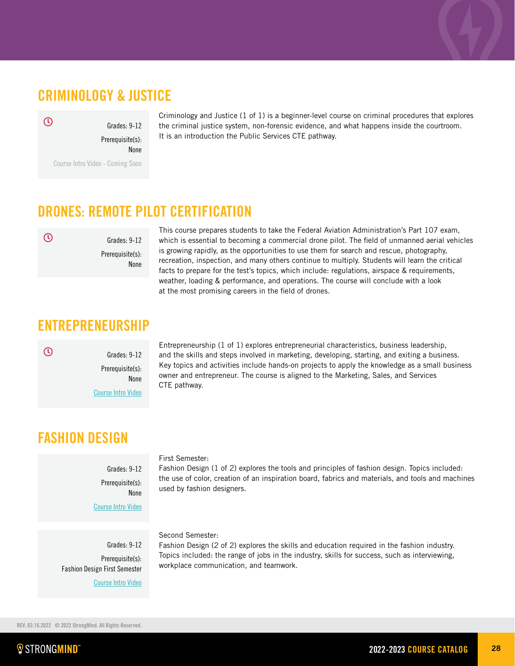## CRIMINOLOGY & JUSTICE

Grades: 9-12

Prerequisite(s): None

Course Intro Video - Coming Soon

Criminology and Justice (1 of 1) is a beginner-level course on criminal procedures that explores the criminal justice system, non-forensic evidence, and what happens inside the courtroom. It is an introduction the Public Services CTE pathway.

## DRONES: REMOTE PILOT CERTIFICATION

 $\odot$ 

Prerequisite(s): None

Grades: 9-12

This course prepares students to take the Federal Aviation Administration's Part 107 exam, which is essential to becoming a commercial drone pilot. The field of unmanned aerial vehicles is growing rapidly, as the opportunities to use them for search and rescue, photography, recreation, inspection, and many others continue to multiply. Students will learn the critical facts to prepare for the test's topics, which include: regulations, airspace & requirements, weather, loading & performance, and operations. The course will conclude with a look at the most promising careers in the field of drones.

## ENTREPRENEURSHIP

 $\odot$ 

Grades: 9-12 Prerequisite(s): None

[Course Intro Video](https://vimeo.com/373181869)

Entrepreneurship (1 of 1) explores entrepreneurial characteristics, business leadership, and the skills and steps involved in marketing, developing, starting, and exiting a business. Key topics and activities include hands-on projects to apply the knowledge as a small business owner and entrepreneur. The course is aligned to the Marketing, Sales, and Services CTE pathway.

## FASHION DESIGN

### Grades: 9-12 Prerequisite(s):

None

[Course Intro Video](https://vimeo.com/333866785)

Grades: 9-12 Prerequisite(s): Fashion Design First Semester

[Course Intro Video](https://vimeo.com/339393042 )

## First Semester:

Fashion Design (1 of 2) explores the tools and principles of fashion design. Topics included: the use of color, creation of an inspiration board, fabrics and materials, and tools and machines used by fashion designers.

### Second Semester:

Fashion Design (2 of 2) explores the skills and education required in the fashion industry. Topics included: the range of jobs in the industry, skills for success, such as interviewing, workplace communication, and teamwork.



 $\mathcal{O}$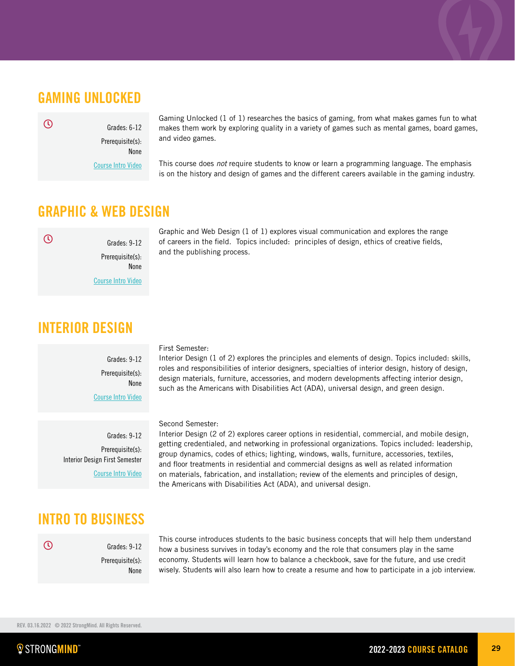### GAMING UNLOCKED

 $\mathcal{O}$ 

Prerequisite(s): None

Grades: 6-12

[Course Intro Video](https://vimeo.com/248232730)

Gaming Unlocked (1 of 1) researches the basics of gaming, from what makes games fun to what makes them work by exploring quality in a variety of games such as mental games, board games, and video games.

This course does *not* require students to know or learn a programming language. The emphasis is on the history and design of games and the different careers available in the gaming industry.

### GRAPHIC & WEB DESIGN

 $\odot$ 

Grades: 9-12 Prerequisite(s): None [Course Intro Video](https://vimeo.com/289129092) Graphic and Web Design (1 of 1) explores visual communication and explores the range of careers in the field. Topics included: principles of design, ethics of creative fields, and the publishing process.

## INTERIOR DESIGN

Grades: 9-12 Prerequisite(s): None [Course Intro Video](https://vimeo.com/339387699)

Grades: 9-12 Prerequisite(s): Interior Design First Semester [Course Intro Video](https://vimeo.com/333866785)

### First Semester:

Interior Design (1 of 2) explores the principles and elements of design. Topics included: skills, roles and responsibilities of interior designers, specialties of interior design, history of design, design materials, furniture, accessories, and modern developments affecting interior design, such as the Americans with Disabilities Act (ADA), universal design, and green design.

### Second Semester:

Interior Design (2 of 2) explores career options in residential, commercial, and mobile design, getting credentialed, and networking in professional organizations. Topics included: leadership, group dynamics, codes of ethics; lighting, windows, walls, furniture, accessories, textiles, and floor treatments in residential and commercial designs as well as related information on materials, fabrication, and installation; review of the elements and principles of design, the Americans with Disabilities Act (ADA), and universal design.

## INTRO TO BUSINESS

 $\odot$ 

Prerequisite(s): None

Grades: 9-12

This course introduces students to the basic business concepts that will help them understand how a business survives in today's economy and the role that consumers play in the same economy. Students will learn how to balance a checkbook, save for the future, and use credit wisely. Students will also learn how to create a resume and how to participate in a job interview.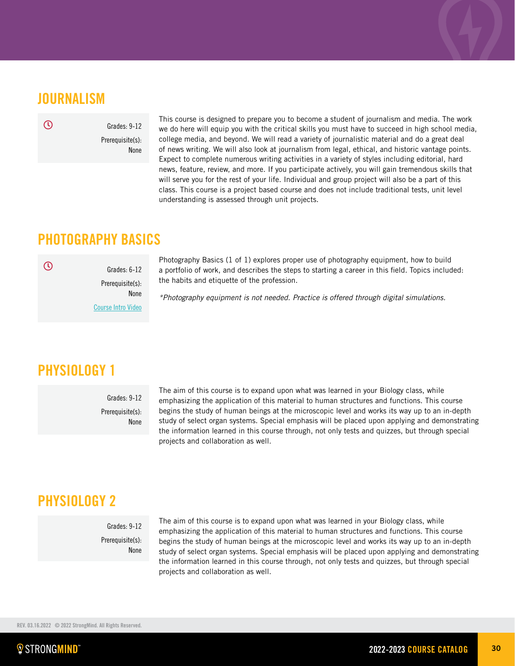## **JOURNALISM**

 $\overline{\odot}$ 

Grades: 9-12 Prerequisite(s): None

This course is designed to prepare you to become a student of journalism and media. The work we do here will equip you with the critical skills you must have to succeed in high school media, college media, and beyond. We will read a variety of journalistic material and do a great deal of news writing. We will also look at journalism from legal, ethical, and historic vantage points. Expect to complete numerous writing activities in a variety of styles including editorial, hard news, feature, review, and more. If you participate actively, you will gain tremendous skills that will serve you for the rest of your life. Individual and group project will also be a part of this class. This course is a project based course and does not include traditional tests, unit level understanding is assessed through unit projects.

## PHOTOGRAPHY BASICS

 $\overline{\mathcal{O}}$ 

Grades: 6-12 Prerequisite(s): None [Course Intro Video](https://vimeo.com/280382232)

Photography Basics (1 of 1) explores proper use of photography equipment, how to build a portfolio of work, and describes the steps to starting a career in this field. Topics included: the habits and etiquette of the profession.

*\*Photography equipment is not needed. Practice is offered through digital simulations.*

## PHYSIOLOGY 1

Grades: 9-12 Prerequisite(s): None The aim of this course is to expand upon what was learned in your Biology class, while emphasizing the application of this material to human structures and functions. This course begins the study of human beings at the microscopic level and works its way up to an in-depth study of select organ systems. Special emphasis will be placed upon applying and demonstrating the information learned in this course through, not only tests and quizzes, but through special projects and collaboration as well.

## PHYSIOLOGY 2

Grades: 9-12 Prerequisite(s): None The aim of this course is to expand upon what was learned in your Biology class, while emphasizing the application of this material to human structures and functions. This course begins the study of human beings at the microscopic level and works its way up to an in-depth study of select organ systems. Special emphasis will be placed upon applying and demonstrating the information learned in this course through, not only tests and quizzes, but through special projects and collaboration as well.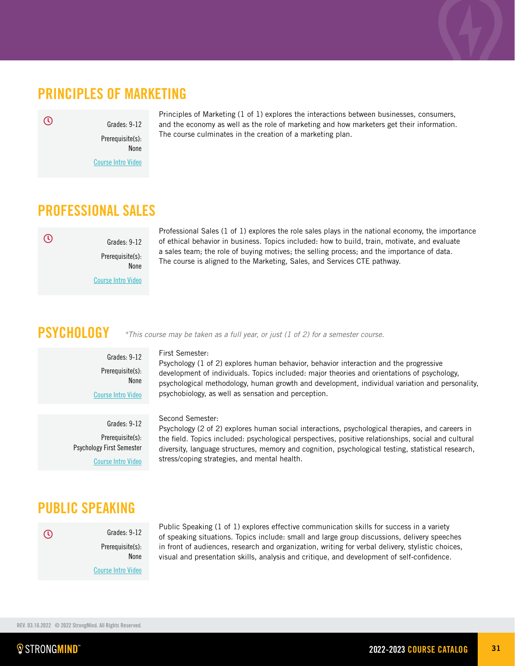## PRINCIPLES OF MARKETING

 $\odot$ 

Grades: 9-12 Prerequisite(s): None [Course Intro Video](https://vimeo.com/337609569) Principles of Marketing (1 of 1) explores the interactions between businesses, consumers, and the economy as well as the role of marketing and how marketers get their information. The course culminates in the creation of a marketing plan.

## PROFESSIONAL SALES

 $\mathcal{O}$ 

Prerequisite(s): None [Course Intro Video](https://vimeo.com/372696437)

Grades: 9-12

Grades: 9-12 Prerequisite(s): None

[Course Intro Video](https://vimeo.com/396765556)

Professional Sales (1 of 1) explores the role sales plays in the national economy, the importance of ethical behavior in business. Topics included: how to build, train, motivate, and evaluate a sales team; the role of buying motives; the selling process; and the importance of data. The course is aligned to the Marketing, Sales, and Services CTE pathway.

## **PSYCHOLOGY**

First Semester:

Psychology (1 of 2) explores human behavior, behavior interaction and the progressive development of individuals. Topics included: major theories and orientations of psychology, psychological methodology, human growth and development, individual variation and personality, psychobiology, as well as sensation and perception.

*\*This course may be taken as a full year, or just (1 of 2) for a semester course.* 

Grades: 9-12 Prerequisite(s): Psychology First Semester [Course Intro Video](https://vimeo.com/390996740)

### Second Semester:

Psychology (2 of 2) explores human social interactions, psychological therapies, and careers in the field. Topics included: psychological perspectives, positive relationships, social and cultural diversity, language structures, memory and cognition, psychological testing, statistical research, stress/coping strategies, and mental health.

## PUBLIC SPEAKING

| $\mathcal{L}$ | Grades: 9-12              |
|---------------|---------------------------|
|               | Prerequisite(s):          |
|               | <b>None</b>               |
|               | <b>Course Intro Video</b> |

Public Speaking (1 of 1) explores effective communication skills for success in a variety of speaking situations. Topics include: small and large group discussions, delivery speeches in front of audiences, research and organization, writing for verbal delivery, stylistic choices, visual and presentation skills, analysis and critique, and development of self-confidence.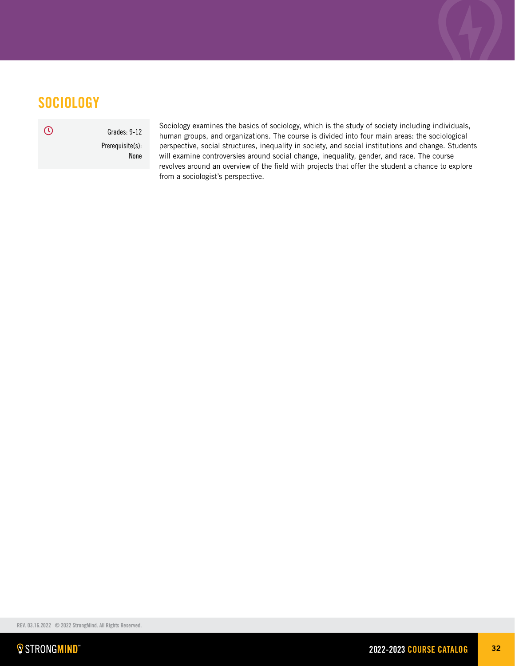## **SOCIOLOGY**

Grades: 9-12 Prerequisite(s): None

Sociology examines the basics of sociology, which is the study of society including individuals, human groups, and organizations. The course is divided into four main areas: the sociological perspective, social structures, inequality in society, and social institutions and change. Students will examine controversies around social change, inequality, gender, and race. The course revolves around an overview of the field with projects that offer the student a chance to explore from a sociologist's perspective.

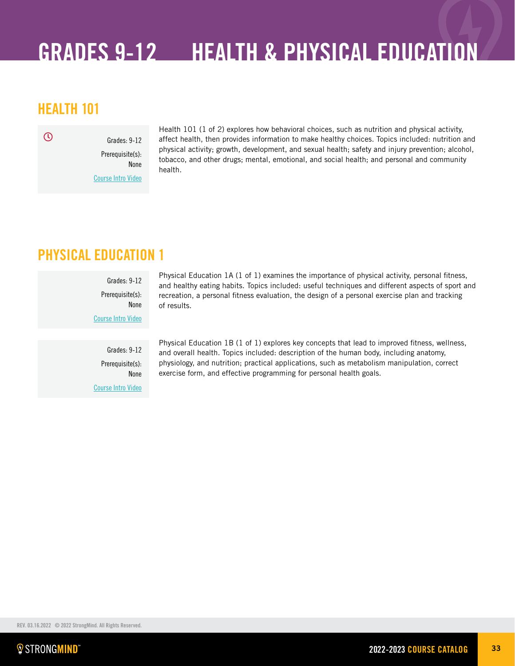## <span id="page-32-0"></span>GRADES 9-12 HEALTH & PHYSICAL EDUCATION

## HEALTH 101

 $\odot$ 

Grades: 9-12 Prerequisite(s): None [Course Intro Video](https://vimeo.com/251890085)

Health 101 (1 of 2) explores how behavioral choices, such as nutrition and physical activity, affect health, then provides information to make healthy choices. Topics included: nutrition and physical activity; growth, development, and sexual health; safety and injury prevention; alcohol, tobacco, and other drugs; mental, emotional, and social health; and personal and community health.

## PHYSICAL EDUCATION 1

Grades: 9-12 Prerequisite(s): None [Course Intro Video](https://vimeo.com/238621258) Physical Education 1A (1 of 1) examines the importance of physical activity, personal fitness, and healthy eating habits. Topics included: useful techniques and different aspects of sport and recreation, a personal fitness evaluation, the design of a personal exercise plan and tracking of results.

Grades: 9-12 Prerequisite(s): None [Course Intro Video](https://vimeo.com/262418381) Physical Education 1B (1 of 1) explores key concepts that lead to improved fitness, wellness, and overall health. Topics included: description of the human body, including anatomy, physiology, and nutrition; practical applications, such as metabolism manipulation, correct exercise form, and effective programming for personal health goals.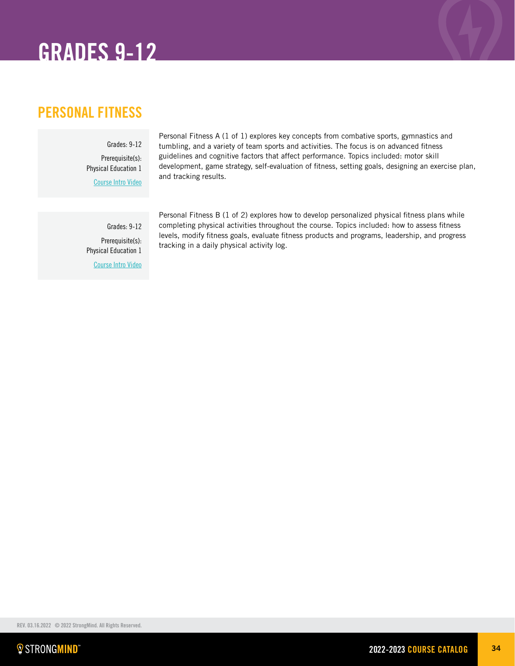## GRADES 9-12

## PERSONAL FITNESS

Grades: 9-12 Prerequisite(s): Physical Education 1 [Course Intro Video](https://vimeo.com/280628610)

Personal Fitness A (1 of 1) explores key concepts from combative sports, gymnastics and tumbling, and a variety of team sports and activities. The focus is on advanced fitness guidelines and cognitive factors that affect performance. Topics included: motor skill development, game strategy, self-evaluation of fitness, setting goals, designing an exercise plan, and tracking results.

Grades: 9-12 Prerequisite(s): Physical Education 1 [Course Intro Video](https://vimeo.com/306421992)

Personal Fitness B (1 of 2) explores how to develop personalized physical fitness plans while completing physical activities throughout the course. Topics included: how to assess fitness levels, modify fitness goals, evaluate fitness products and programs, leadership, and progress tracking in a daily physical activity log.

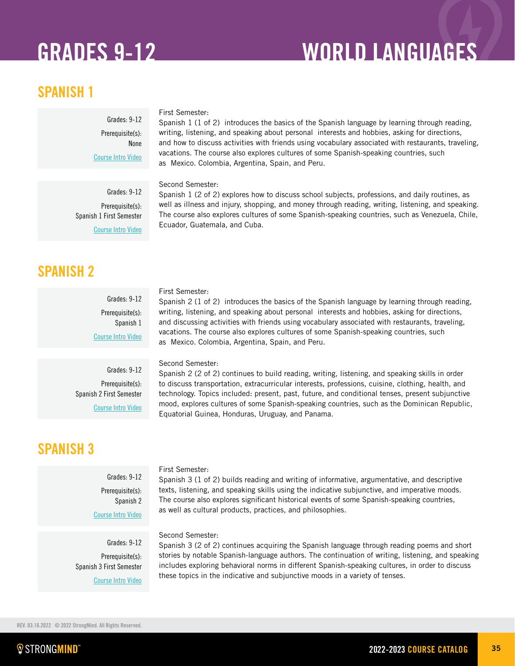## GRADES 9-12 WORLD LANGUAGES

## SPANISH 1

### First Semester:

Spanish 1 (1 of 2) introduces the basics of the Spanish language by learning through reading, writing, listening, and speaking about personal interests and hobbies, asking for directions, and how to discuss activities with friends using vocabulary associated with restaurants, traveling, vacations. The course also explores cultures of some Spanish-speaking countries, such as Mexico. Colombia, Argentina, Spain, and Peru.

### Second Semester:

Grades: 9-12 Prerequisite(s): Spanish 1 First Semester [Course Intro Video](https://vimeo.com/271174767)

Grades: 9-12 Prerequisite(s):

[Course Intro Video](https://vimeo.com/248361542)

None

Spanish 1 (2 of 2) explores how to discuss school subjects, professions, and daily routines, as well as illness and injury, shopping, and money through reading, writing, listening, and speaking. The course also explores cultures of some Spanish-speaking countries, such as Venezuela, Chile, Ecuador, Guatemala, and Cuba.

### SPANISH 2

Grades: 9-12 Prerequisite(s): Spanish 1 [Course Intro Video](https://vimeo.com/287322084)

### First Semester:

Spanish 2 (1 of 2) introduces the basics of the Spanish language by learning through reading, writing, listening, and speaking about personal interests and hobbies, asking for directions, and discussing activities with friends using vocabulary associated with restaurants, traveling, vacations. The course also explores cultures of some Spanish-speaking countries, such as Mexico. Colombia, Argentina, Spain, and Peru.

Grades: 9-12 Prerequisite(s): Spanish 2 First Semester [Course Intro Video](https://vimeo.com/303386761)

## SPANISH 3

### Grades: 9-12 Prerequisite(s): Spanish 2 [Course Intro Video](https://vimeo.com/332496216)

Grades: 9-12 Prerequisite(s): Spanish 3 First Semester [Course Intro Video](https://vimeo.com/strongmindlearning/review/376872232/266ba3d474)

### Second Semester:

Spanish 2 (2 of 2) continues to build reading, writing, listening, and speaking skills in order to discuss transportation, extracurricular interests, professions, cuisine, clothing, health, and technology. Topics included: present, past, future, and conditional tenses, present subjunctive mood, explores cultures of some Spanish-speaking countries, such as the Dominican Republic, Equatorial Guinea, Honduras, Uruguay, and Panama.

### First Semester:

Spanish 3 (1 of 2) builds reading and writing of informative, argumentative, and descriptive texts, listening, and speaking skills using the indicative subjunctive, and imperative moods. The course also explores significant historical events of some Spanish-speaking countries, as well as cultural products, practices, and philosophies.

### Second Semester:

Spanish 3 (2 of 2) continues acquiring the Spanish language through reading poems and short stories by notable Spanish-language authors. The continuation of writing, listening, and speaking includes exploring behavioral norms in different Spanish-speaking cultures, in order to discuss these topics in the indicative and subjunctive moods in a variety of tenses.

REV. 03.16.2022 © 2022 StrongMind. All Rights Reserved.

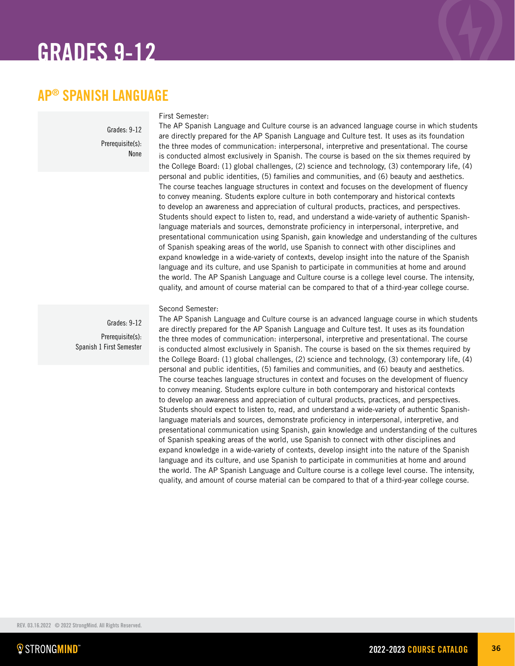## GRADES 9-12

## AP® SPANISH LANGUAGE

Grades: 9-12 Prerequisite(s): None

### First Semester:

The AP Spanish Language and Culture course is an advanced language course in which students are directly prepared for the AP Spanish Language and Culture test. It uses as its foundation the three modes of communication: interpersonal, interpretive and presentational. The course is conducted almost exclusively in Spanish. The course is based on the six themes required by the College Board: (1) global challenges, (2) science and technology, (3) contemporary life, (4) personal and public identities, (5) families and communities, and (6) beauty and aesthetics. The course teaches language structures in context and focuses on the development of fluency to convey meaning. Students explore culture in both contemporary and historical contexts to develop an awareness and appreciation of cultural products, practices, and perspectives. Students should expect to listen to, read, and understand a wide-variety of authentic Spanishlanguage materials and sources, demonstrate proficiency in interpersonal, interpretive, and presentational communication using Spanish, gain knowledge and understanding of the cultures of Spanish speaking areas of the world, use Spanish to connect with other disciplines and expand knowledge in a wide-variety of contexts, develop insight into the nature of the Spanish language and its culture, and use Spanish to participate in communities at home and around the world. The AP Spanish Language and Culture course is a college level course. The intensity, quality, and amount of course material can be compared to that of a third-year college course.

Grades: 9-12 Prerequisite(s): Spanish 1 First Semester

### Second Semester:

The AP Spanish Language and Culture course is an advanced language course in which students are directly prepared for the AP Spanish Language and Culture test. It uses as its foundation the three modes of communication: interpersonal, interpretive and presentational. The course is conducted almost exclusively in Spanish. The course is based on the six themes required by the College Board: (1) global challenges, (2) science and technology, (3) contemporary life, (4) personal and public identities, (5) families and communities, and (6) beauty and aesthetics. The course teaches language structures in context and focuses on the development of fluency to convey meaning. Students explore culture in both contemporary and historical contexts to develop an awareness and appreciation of cultural products, practices, and perspectives. Students should expect to listen to, read, and understand a wide-variety of authentic Spanishlanguage materials and sources, demonstrate proficiency in interpersonal, interpretive, and presentational communication using Spanish, gain knowledge and understanding of the cultures of Spanish speaking areas of the world, use Spanish to connect with other disciplines and expand knowledge in a wide-variety of contexts, develop insight into the nature of the Spanish language and its culture, and use Spanish to participate in communities at home and around the world. The AP Spanish Language and Culture course is a college level course. The intensity, quality, and amount of course material can be compared to that of a third-year college course.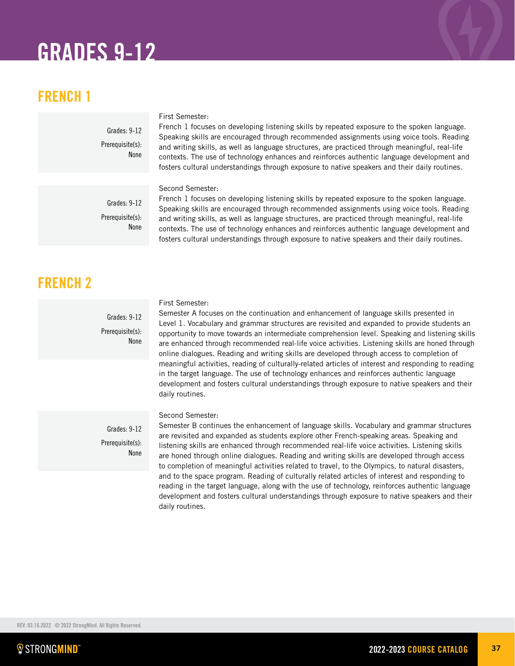# GRADES 9-12

# FRENCH 1

Grades: 9-12 Prerequisite(s): None

## First Semester:

French 1 focuses on developing listening skills by repeated exposure to the spoken language. Speaking skills are encouraged through recommended assignments using voice tools. Reading and writing skills, as well as language structures, are practiced through meaningful, real-life contexts. The use of technology enhances and reinforces authentic language development and fosters cultural understandings through exposure to native speakers and their daily routines.

## Second Semester:

Grades: 9-12 Prerequisite(s): None

French 1 focuses on developing listening skills by repeated exposure to the spoken language. Speaking skills are encouraged through recommended assignments using voice tools. Reading and writing skills, as well as language structures, are practiced through meaningful, real-life contexts. The use of technology enhances and reinforces authentic language development and fosters cultural understandings through exposure to native speakers and their daily routines.

# FRENCH 2

Grades: 9-12 Prerequisite(s): None

Grades: 9-12 Prerequisite(s): None

## First Semester:

Semester A focuses on the continuation and enhancement of language skills presented in Level 1. Vocabulary and grammar structures are revisited and expanded to provide students an opportunity to move towards an intermediate comprehension level. Speaking and listening skills are enhanced through recommended real-life voice activities. Listening skills are honed through online dialogues. Reading and writing skills are developed through access to completion of meaningful activities, reading of culturally-related articles of interest and responding to reading in the target language. The use of technology enhances and reinforces authentic language development and fosters cultural understandings through exposure to native speakers and their daily routines.

## Second Semester:

Semester B continues the enhancement of language skills. Vocabulary and grammar structures are revisited and expanded as students explore other French-speaking areas. Speaking and listening skills are enhanced through recommended real-life voice activities. Listening skills are honed through online dialogues. Reading and writing skills are developed through access to completion of meaningful activities related to travel, to the Olympics, to natural disasters, and to the space program. Reading of culturally related articles of interest and responding to reading in the target language, along with the use of technology, reinforces authentic language development and fosters cultural understandings through exposure to native speakers and their daily routines.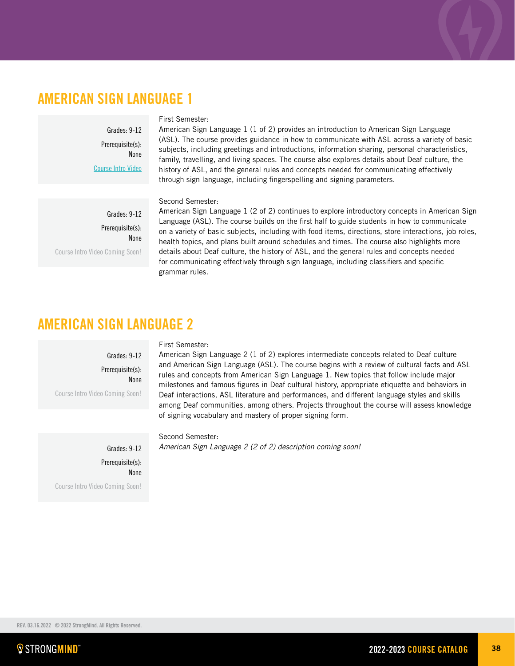## AMERICAN SIGN LANGUAGE 1

Grades: 9-12 Prerequisite(s): None [Course Intro Video](https://vimeo.com/601222642/145ae4850e)

## First Semester:

American Sign Language 1 (1 of 2) provides an introduction to American Sign Language (ASL). The course provides guidance in how to communicate with ASL across a variety of basic subjects, including greetings and introductions, information sharing, personal characteristics, family, travelling, and living spaces. The course also explores details about Deaf culture, the history of ASL, and the general rules and concepts needed for communicating effectively through sign language, including fingerspelling and signing parameters.

## Second Semester:

Grades: 9-12 Prerequisite(s): None Course Intro Video Coming Soon!

American Sign Language 1 (2 of 2) continues to explore introductory concepts in American Sign Language (ASL). The course builds on the first half to guide students in how to communicate on a variety of basic subjects, including with food items, directions, store interactions, job roles, health topics, and plans built around schedules and times. The course also highlights more details about Deaf culture, the history of ASL, and the general rules and concepts needed for communicating effectively through sign language, including classifiers and specific grammar rules.

## AMERICAN SIGN LANGUAGE 2

Grades: 9-12 Prerequisite(s): None

Course Intro Video Coming Soon!

## First Semester:

American Sign Language 2 (1 of 2) explores intermediate concepts related to Deaf culture and American Sign Language (ASL). The course begins with a review of cultural facts and ASL rules and concepts from American Sign Language 1. New topics that follow include major milestones and famous figures in Deaf cultural history, appropriate etiquette and behaviors in Deaf interactions, ASL literature and performances, and different language styles and skills among Deaf communities, among others. Projects throughout the course will assess knowledge of signing vocabulary and mastery of proper signing form.

Grades: 9-12 Prerequisite(s): None Course Intro Video Coming Soon!

Second Semester: *American Sign Language 2 (2 of 2) description coming soon!*

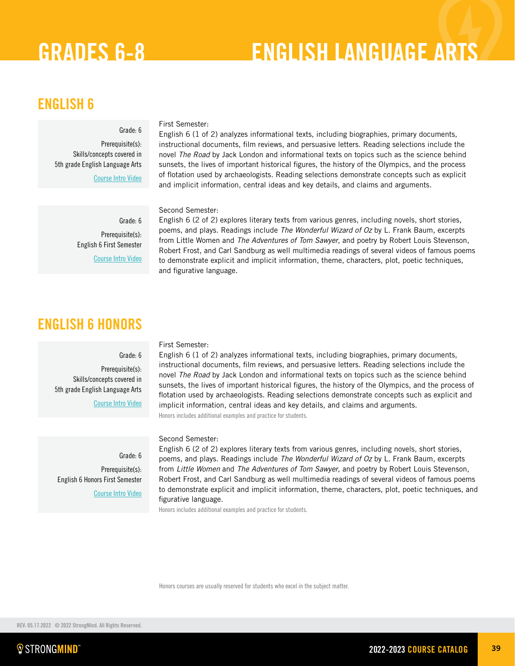# GRADES 6-8 ENGLISH LANGUAGE ARTS

## ENGLISH 6

## Grade: 6

Prerequisite(s): Skills/concepts covered in 5th grade English Language Arts [Course Intro Video](https://vimeo.com/281337382) First Semester:

English 6 (1 of 2) analyzes informational texts, including biographies, primary documents, instructional documents, film reviews, and persuasive letters. Reading selections include the novel *The Road* by Jack London and informational texts on topics such as the science behind sunsets, the lives of important historical figures, the history of the Olympics, and the process of flotation used by archaeologists. Reading selections demonstrate concepts such as explicit and implicit information, central ideas and key details, and claims and arguments.

English 6 (2 of 2) explores literary texts from various genres, including novels, short stories, poems, and plays. Readings include *The Wonderful Wizard of Oz* by L. Frank Baum, excerpts from Little Women and *The Adventures of Tom Sawyer*, and poetry by Robert Louis Stevenson, Robert Frost, and Carl Sandburg as well multimedia readings of several videos of famous poems to demonstrate explicit and implicit information, theme, characters, plot, poetic techniques,

## Second Semester:

and figurative language.

Grade: 6 Prerequisite(s): English 6 First Semester [Course Intro Video](https://vimeo.com/281337550)

# ENGLISH 6 HONORS

## Grade: 6

Prerequisite(s): Skills/concepts covered in 5th grade English Language Arts

[Course Intro Video](https://vimeo.com/281337382)

English 6 (1 of 2) analyzes informational texts, including biographies, primary documents, instructional documents, film reviews, and persuasive letters. Reading selections include the novel *The Road* by Jack London and informational texts on topics such as the science behind sunsets, the lives of important historical figures, the history of the Olympics, and the process of flotation used by archaeologists. Reading selections demonstrate concepts such as explicit and implicit information, central ideas and key details, and claims and arguments. Honors includes additional examples and practice for students.

Second Semester:

First Semester:

English 6 (2 of 2) explores literary texts from various genres, including novels, short stories, poems, and plays. Readings include *The Wonderful Wizard of Oz* by L. Frank Baum, excerpts from *Little Women* and *The Adventures of Tom Sawyer*, and poetry by Robert Louis Stevenson, Robert Frost, and Carl Sandburg as well multimedia readings of several videos of famous poems to demonstrate explicit and implicit information, theme, characters, plot, poetic techniques, and figurative language.

Honors includes additional examples and practice for students.

Honors courses are usually reserved for students who excel in the subject matter.

Grade: 6 Prerequisite(s): English 6 Honors First Semester [Course Intro Video](https://vimeo.com/281337550)

REV. 05.17.2022 © 2022 StrongMind. All Rights Reserved.

*<u><b>E</u>* STRONGMIND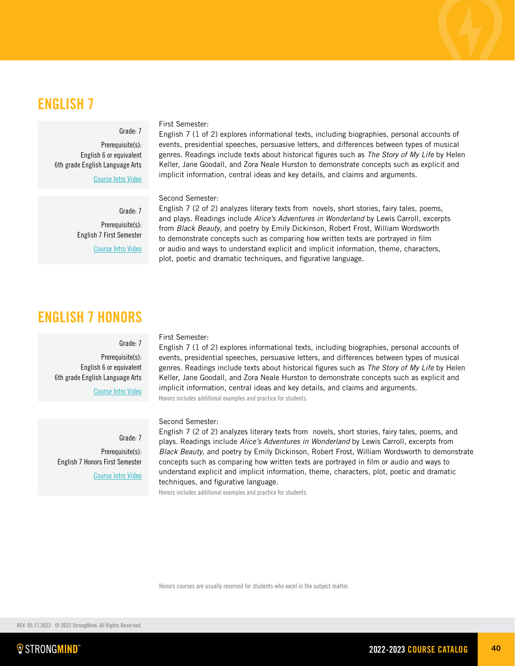## ENGLISH 7

## Grade: 7

Prerequisite(s): English 6 or equivalent 6th grade English Language Arts

[Course Intro Video](https://vimeo.com/281337633)

Grade: 7 Prerequisite(s): English 7 First Semester [Course Intro Video](https://vimeo.com/281337709)

# ENGLISH 7 HONORS

### Grade: 7

Prerequisite(s): English 6 or equivalent 6th grade English Language Arts

[Course Intro Video](https://vimeo.com/281337633)

Grade: 7 Prerequisite(s): English 7 Honors First Semester [Course Intro Video](https://vimeo.com/281337709)

## First Semester:

First Semester:

Second Semester:

English 7 (1 of 2) explores informational texts, including biographies, personal accounts of events, presidential speeches, persuasive letters, and differences between types of musical genres. Readings include texts about historical figures such as *The Story of My Life* by Helen Keller, Jane Goodall, and Zora Neale Hurston to demonstrate concepts such as explicit and implicit information, central ideas and key details, and claims and arguments. Honors includes additional examples and practice for students.

English 7 (1 of 2) explores informational texts, including biographies, personal accounts of events, presidential speeches, persuasive letters, and differences between types of musical genres. Readings include texts about historical figures such as *The Story of My Life* by Helen Keller, Jane Goodall, and Zora Neale Hurston to demonstrate concepts such as explicit and

implicit information, central ideas and key details, and claims and arguments.

plot, poetic and dramatic techniques, and figurative language.

English 7 (2 of 2) analyzes literary texts from novels, short stories, fairy tales, poems, and plays. Readings include *Alice's Adventures in Wonderland* by Lewis Carroll, excerpts from *Black Beauty*, and poetry by Emily Dickinson, Robert Frost, William Wordsworth to demonstrate concepts such as comparing how written texts are portrayed in film or audio and ways to understand explicit and implicit information, theme, characters,

### Second Semester:

English 7 (2 of 2) analyzes literary texts from novels, short stories, fairy tales, poems, and plays. Readings include *Alice's Adventures in Wonderland* by Lewis Carroll, excerpts from *Black Beauty*, and poetry by Emily Dickinson, Robert Frost, William Wordsworth to demonstrate concepts such as comparing how written texts are portrayed in film or audio and ways to understand explicit and implicit information, theme, characters, plot, poetic and dramatic techniques, and figurative language.

Honors includes additional examples and practice for students.

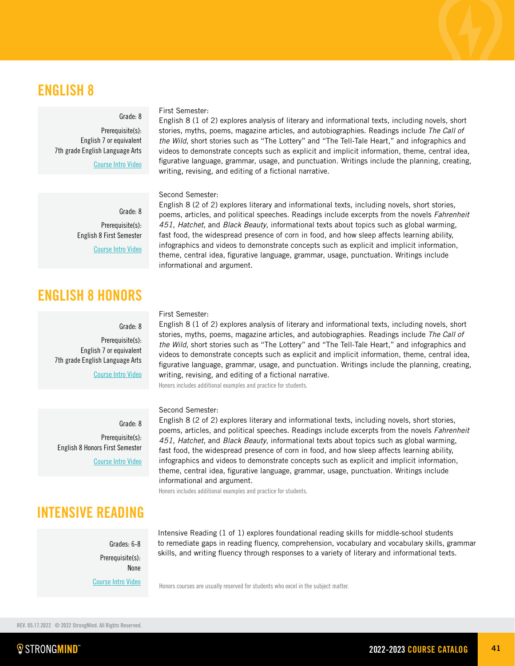# ENGLISH 8

## Grade: 8

Grade: 8 Prerequisite(s): English 8 First Semester [Course Intro Video](https://vimeo.com/245783391)

Grade: 8 Prerequisite(s): English 7 or equivalent

> Grade: 8 Prerequisite(s):

Prerequisite(s): English 7 or equivalent 7th grade English Language Arts

ENGLISH 8 HONORS

7th grade English Language Arts

English 8 Honors First Semester

[Course Intro Video](https://vimeo.com/226805516)

[Course Intro Video](https://vimeo.com/245783391)

[Course Intro Video](https://vimeo.com/226805516)

## First Semester:

English 8 (1 of 2) explores analysis of literary and informational texts, including novels, short stories, myths, poems, magazine articles, and autobiographies. Readings include *The Call of the Wild*, short stories such as "The Lottery" and "The Tell-Tale Heart," and infographics and videos to demonstrate concepts such as explicit and implicit information, theme, central idea, figurative language, grammar, usage, and punctuation. Writings include the planning, creating, writing, revising, and editing of a fictional narrative.

## Second Semester:

English 8 (2 of 2) explores literary and informational texts, including novels, short stories, poems, articles, and political speeches. Readings include excerpts from the novels *Fahrenheit 451*, *Hatchet*, and *Black Beauty*, informational texts about topics such as global warming, fast food, the widespread presence of corn in food, and how sleep affects learning ability, infographics and videos to demonstrate concepts such as explicit and implicit information, theme, central idea, figurative language, grammar, usage, punctuation. Writings include informational and argument.

## First Semester:

English 8 (1 of 2) explores analysis of literary and informational texts, including novels, short stories, myths, poems, magazine articles, and autobiographies. Readings include *The Call of the Wild*, short stories such as "The Lottery" and "The Tell-Tale Heart," and infographics and videos to demonstrate concepts such as explicit and implicit information, theme, central idea, figurative language, grammar, usage, and punctuation. Writings include the planning, creating, writing, revising, and editing of a fictional narrative.

Honors includes additional examples and practice for students.

### Second Semester:

English 8 (2 of 2) explores literary and informational texts, including novels, short stories, poems, articles, and political speeches. Readings include excerpts from the novels *Fahrenheit 451*, *Hatchet*, and *Black Beauty*, informational texts about topics such as global warming, fast food, the widespread presence of corn in food, and how sleep affects learning ability, infographics and videos to demonstrate concepts such as explicit and implicit information, theme, central idea, figurative language, grammar, usage, punctuation. Writings include informational and argument.

Honors includes additional examples and practice for students.

INTENSIVE READING

Grades: 6-8 Prerequisite(s): None

[Course Intro Video](https://vimeo.com/369340904)

Intensive Reading (1 of 1) explores foundational reading skills for middle-school students to remediate gaps in reading fluency, comprehension, vocabulary and vocabulary skills, grammar skills, and writing fluency through responses to a variety of literary and informational texts.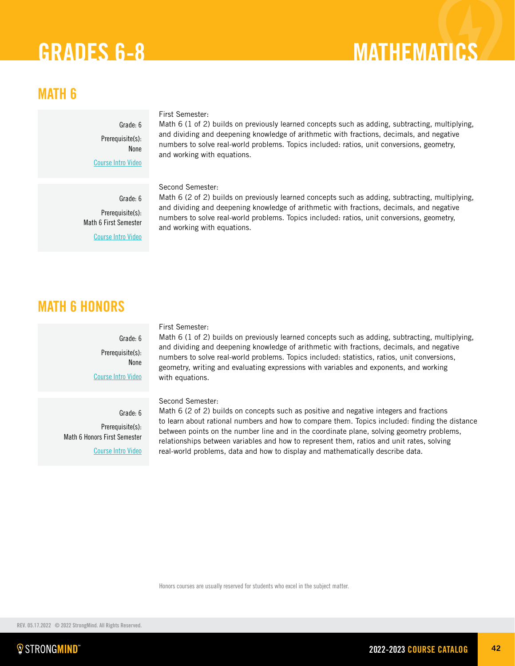# GRADES 6-8 MATHEMATICS

# MATH 6

Grade: 6 Prerequisite(s): None [Course Intro Video](https://vimeo.com/279922572)

## First Semester:

Math 6 (1 of 2) builds on previously learned concepts such as adding, subtracting, multiplying, and dividing and deepening knowledge of arithmetic with fractions, decimals, and negative numbers to solve real-world problems. Topics included: ratios, unit conversions, geometry, and working with equations.

Second Semester:

Grade: 6 Prerequisite(s): Math 6 First Semester [Course Intro Video](https://vimeo.com/289772583)

Math 6 (2 of 2) builds on previously learned concepts such as adding, subtracting, multiplying, and dividing and deepening knowledge of arithmetic with fractions, decimals, and negative numbers to solve real-world problems. Topics included: ratios, unit conversions, geometry, and working with equations.

# MATH 6 HONORS

Grade: 6 Prerequisite(s): None [Course Intro Video](https://vimeo.com/279922572)

Grade: 6 Prerequisite(s): Math 6 Honors First Semester [Course Intro Video](https://vimeo.com/289772583)

### First Semester:

Math 6 (1 of 2) builds on previously learned concepts such as adding, subtracting, multiplying, and dividing and deepening knowledge of arithmetic with fractions, decimals, and negative numbers to solve real-world problems. Topics included: statistics, ratios, unit conversions, geometry, writing and evaluating expressions with variables and exponents, and working with equations.

## Second Semester:

Math 6 (2 of 2) builds on concepts such as positive and negative integers and fractions to learn about rational numbers and how to compare them. Topics included: finding the distance between points on the number line and in the coordinate plane, solving geometry problems, relationships between variables and how to represent them, ratios and unit rates, solving real-world problems, data and how to display and mathematically describe data.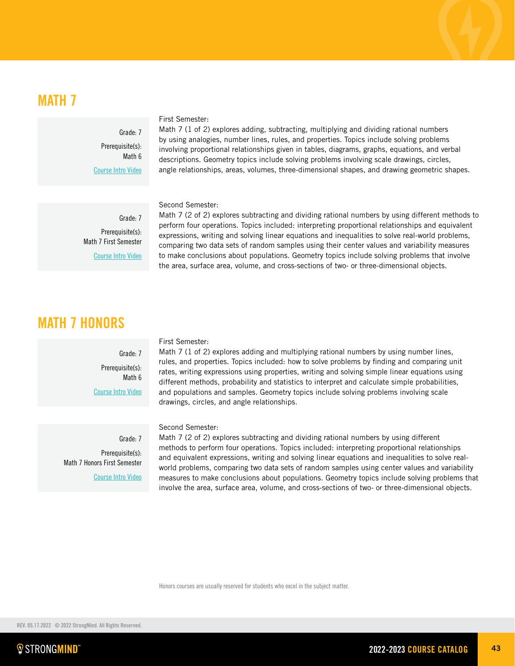# MATH 7

Grade: 7 Prerequisite(s): Math 6 [Course Intro Video](https://vimeo.com/280628933)

## First Semester:

Math 7 (1 of 2) explores adding, subtracting, multiplying and dividing rational numbers by using analogies, number lines, rules, and properties. Topics include solving problems involving proportional relationships given in tables, diagrams, graphs, equations, and verbal descriptions. Geometry topics include solving problems involving scale drawings, circles, angle relationships, areas, volumes, three-dimensional shapes, and drawing geometric shapes.

Second Semester:

Grade: 7 Prerequisite(s): Math 7 First Semester [Course Intro Video](https://vimeo.com/290529633)

Math 7 (2 of 2) explores subtracting and dividing rational numbers by using different methods to perform four operations. Topics included: interpreting proportional relationships and equivalent expressions, writing and solving linear equations and inequalities to solve real-world problems, comparing two data sets of random samples using their center values and variability measures to make conclusions about populations. Geometry topics include solving problems that involve the area, surface area, volume, and cross-sections of two- or three-dimensional objects.

# MATH 7 HONORS

Grade: 7 Prerequisite(s): Math 6 [Course Intro Video](https://vimeo.com/280628933)

Grade: 7 Prerequisite(s): Math 7 Honors First Semester [Course Intro Video](https://vimeo.com/290529633)

## First Semester:

Math 7 (1 of 2) explores adding and multiplying rational numbers by using number lines, rules, and properties. Topics included: how to solve problems by finding and comparing unit rates, writing expressions using properties, writing and solving simple linear equations using different methods, probability and statistics to interpret and calculate simple probabilities, and populations and samples. Geometry topics include solving problems involving scale drawings, circles, and angle relationships.

Second Semester:

Math 7 (2 of 2) explores subtracting and dividing rational numbers by using different methods to perform four operations. Topics included: interpreting proportional relationships and equivalent expressions, writing and solving linear equations and inequalities to solve realworld problems, comparing two data sets of random samples using center values and variability measures to make conclusions about populations. Geometry topics include solving problems that involve the area, surface area, volume, and cross-sections of two- or three-dimensional objects.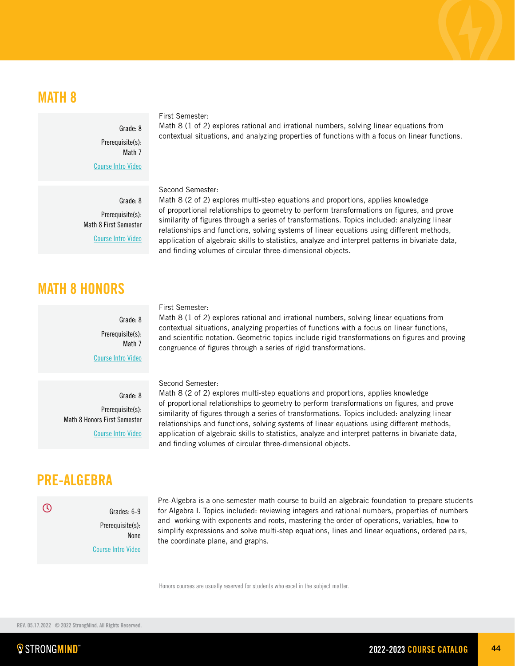# MATH 8

Grade: 8 Prerequisite(s): Math 7 [Course Intro Video](https://vimeo.com/223522952)

First Semester:

Math 8 (1 of 2) explores rational and irrational numbers, solving linear equations from contextual situations, and analyzing properties of functions with a focus on linear functions.

## Second Semester:

Math 8 (2 of 2) explores multi-step equations and proportions, applies knowledge of proportional relationships to geometry to perform transformations on figures, and prove similarity of figures through a series of transformations. Topics included: analyzing linear relationships and functions, solving systems of linear equations using different methods, application of algebraic skills to statistics, analyze and interpret patterns in bivariate data, and finding volumes of circular three-dimensional objects.

Grade: 8 Prerequisite(s): Math 8 First Semester [Course Intro Video](https://vimeo.com/236628299)

# MATH 8 HONORS

Grade: 8 Prerequisite(s): Math 7 [Course Intro Video](https://vimeo.com/223522952)

### First Semester:

Math 8 (1 of 2) explores rational and irrational numbers, solving linear equations from contextual situations, analyzing properties of functions with a focus on linear functions, and scientific notation. Geometric topics include rigid transformations on figures and proving congruence of figures through a series of rigid transformations.

### Second Semester:

Math 8 (2 of 2) explores multi-step equations and proportions, applies knowledge of proportional relationships to geometry to perform transformations on figures, and prove similarity of figures through a series of transformations. Topics included: analyzing linear relationships and functions, solving systems of linear equations using different methods, application of algebraic skills to statistics, analyze and interpret patterns in bivariate data, and finding volumes of circular three-dimensional objects.

Grade: 8 Prerequisite(s): Math 8 Honors First Semester [Course Intro Video](https://vimeo.com/236628299)

# PRE-ALGEBRA

Grades: 6-9 Prerequisite(s): None [Course Intro Video](https://vimeo.com/304172267)

Pre-Algebra is a one-semester math course to build an algebraic foundation to prepare students for Algebra I. Topics included: reviewing integers and rational numbers, properties of numbers and working with exponents and roots, mastering the order of operations, variables, how to simplify expressions and solve multi-step equations, lines and linear equations, ordered pairs, the coordinate plane, and graphs.

Honors courses are usually reserved for students who excel in the subject matter.

 $\odot$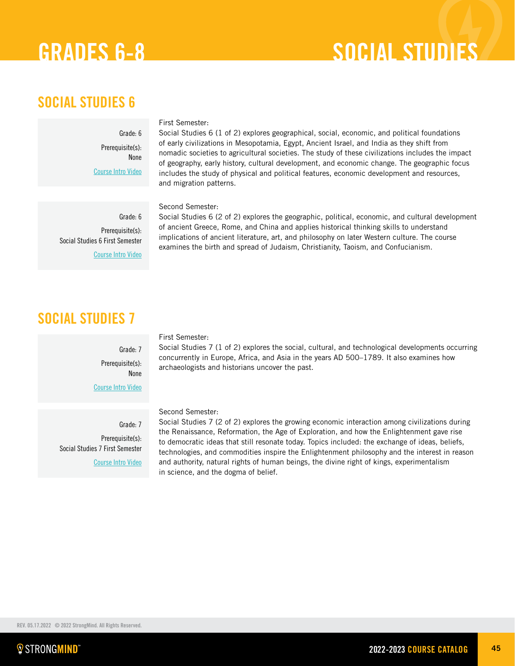# GRADES 6-8 SOCIAL STUDIES

# SOCIAL STUDIES 6

Grade: 6 Prerequisite(s): None [Course Intro Video](https://vimeo.com/305542911)

## First Semester:

Second Semester:

Social Studies 6 (1 of 2) explores geographical, social, economic, and political foundations of early civilizations in Mesopotamia, Egypt, Ancient Israel, and India as they shift from nomadic societies to agricultural societies. The study of these civilizations includes the impact of geography, early history, cultural development, and economic change. The geographic focus includes the study of physical and political features, economic development and resources, and migration patterns.

Grade: 6 Prerequisite(s): Social Studies 6 First Semester [Course Intro Video](https://player.vimeo.com/video/374040699)

Social Studies 6 (2 of 2) explores the geographic, political, economic, and cultural development of ancient Greece, Rome, and China and applies historical thinking skills to understand implications of ancient literature, art, and philosophy on later Western culture. The course examines the birth and spread of Judaism, Christianity, Taoism, and Confucianism.

# SOCIAL STUDIES 7

## First Semester:

Social Studies 7 (1 of 2) explores the social, cultural, and technological developments occurring concurrently in Europe, Africa, and Asia in the years AD 500–1789. It also examines how archaeologists and historians uncover the past.

[Course Intro Video](https://vimeo.com/266590690)

Grade: 7 Prerequisite(s): None

Grade: 7 Prerequisite(s): Social Studies 7 First Semester [Course Intro Video](https://vimeo.com/286559798)

## Second Semester:

Social Studies 7 (2 of 2) explores the growing economic interaction among civilizations during the Renaissance, Reformation, the Age of Exploration, and how the Enlightenment gave rise to democratic ideas that still resonate today. Topics included: the exchange of ideas, beliefs, technologies, and commodities inspire the Enlightenment philosophy and the interest in reason and authority, natural rights of human beings, the divine right of kings, experimentalism in science, and the dogma of belief.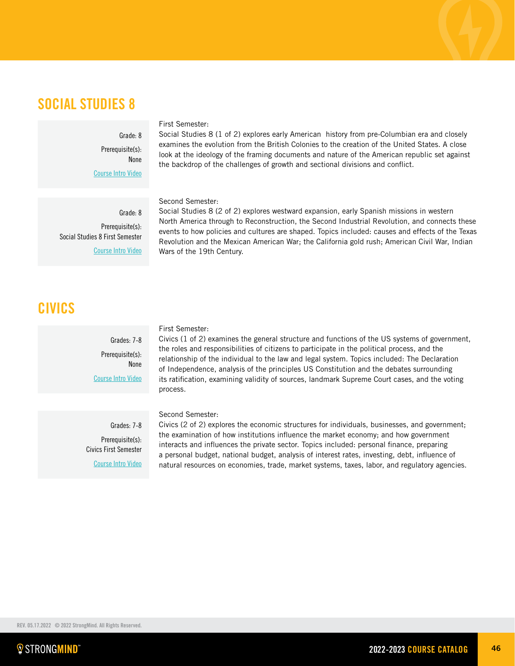Grade: 8 Prerequisite(s): None [Course Intro Video](https://vimeo.com/223525683)

Grade: 8 Prerequisite(s): Social Studies 8 First Semester [Course Intro Video](https://vimeo.com/241948767)

## CIVICS

Grades: 7-8 Prerequisite(s): None [Course Intro Video](https://vimeo.com/400624247/c3ad99d020) First Semester:

Civics (1 of 2) examines the general structure and functions of the US systems of government, the roles and responsibilities of citizens to participate in the political process, and the relationship of the individual to the law and legal system. Topics included: The Declaration of Independence, analysis of the principles US Constitution and the debates surrounding its ratification, examining validity of sources, landmark Supreme Court cases, and the voting process.

Second Semester:

Grades: 7-8 Prerequisite(s): Civics First Semester [Course Intro Video](https://vimeo.com/461463754/6c8735728c) Civics (2 of 2) explores the economic structures for individuals, businesses, and government; the examination of how institutions influence the market economy; and how government interacts and influences the private sector. Topics included: personal finance, preparing a personal budget, national budget, analysis of interest rates, investing, debt, influence of natural resources on economies, trade, market systems, taxes, labor, and regulatory agencies.

# SOCIAL STUDIES 8

## First Semester:

Social Studies 8 (1 of 2) explores early American history from pre-Columbian era and closely examines the evolution from the British Colonies to the creation of the United States. A close look at the ideology of the framing documents and nature of the American republic set against the backdrop of the challenges of growth and sectional divisions and conflict.

Second Semester:

Social Studies 8 (2 of 2) explores westward expansion, early Spanish missions in western North America through to Reconstruction, the Second Industrial Revolution, and connects these events to how policies and cultures are shaped. Topics included: causes and effects of the Texas Revolution and the Mexican American War; the California gold rush; American Civil War, Indian Wars of the 19th Century.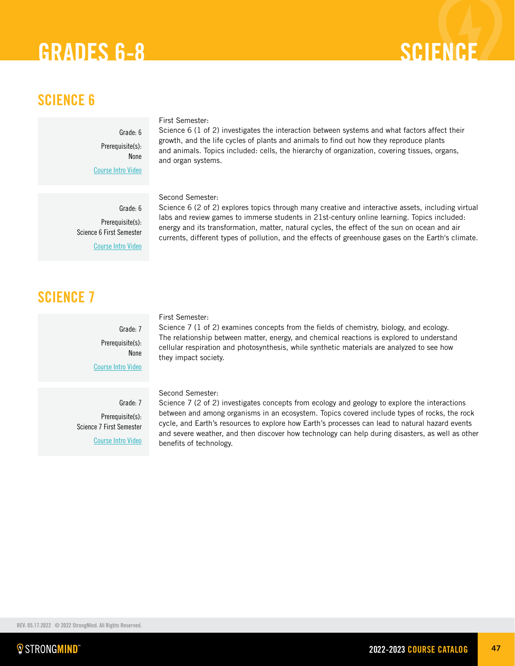# GRADES 6-8 SCIENCE

# SCIENCE 6

Grade: 6 Prerequisite(s): None [Course Intro Video](https://vimeo.com/345077973)

## First Semester:

Science 6 (1 of 2) investigates the interaction between systems and what factors affect their growth, and the life cycles of plants and animals to find out how they reproduce plants and animals. Topics included: cells, the hierarchy of organization, covering tissues, organs, and organ systems.

Second Semester:

Science 6 (2 of 2) explores topics through many creative and interactive assets, including virtual labs and review games to immerse students in 21st-century online learning. Topics included: energy and its transformation, matter, natural cycles, the effect of the sun on ocean and air currents, different types of pollution, and the effects of greenhouse gases on the Earth's climate.

SCIENCE 7

## First Semester:

Science 7 (1 of 2) examines concepts from the fields of chemistry, biology, and ecology. The relationship between matter, energy, and chemical reactions is explored to understand cellular respiration and photosynthesis, while synthetic materials are analyzed to see how they impact society.

Second Semester:

Science 7 (2 of 2) investigates concepts from ecology and geology to explore the interactions between and among organisms in an ecosystem. Topics covered include types of rocks, the rock cycle, and Earth's resources to explore how Earth's processes can lead to natural hazard events and severe weather, and then discover how technology can help during disasters, as well as other benefits of technology.

Grade: 7 Prerequisite(s): Science 7 First Semester

[Course Intro Video](https://vimeo.com/304172467)

Grade: 7

Grade: 6 Prerequisite(s): Science 6 First Semester [Course Intro Video](https://vimeo.com/373247568)

> Prerequisite(s): None

[Course Intro Video](https://vimeo.com/282526601)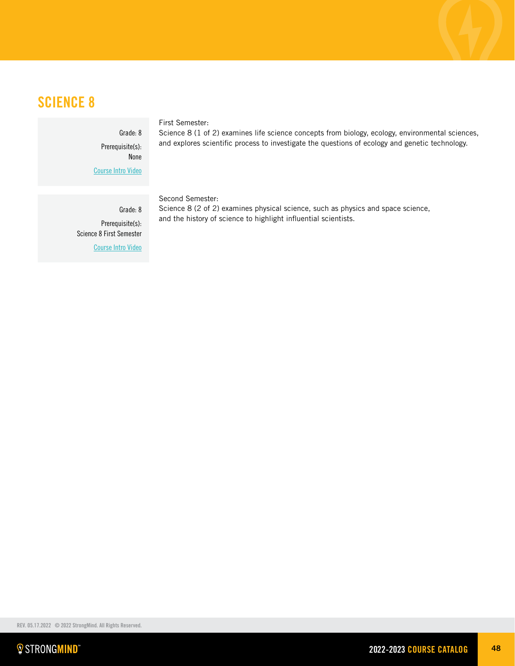# SCIENCE 8

Grade: 8 Prerequisite(s): None [Course Intro Video](https://vimeo.com/227793558)

## First Semester:

Science 8 (1 of 2) examines life science concepts from biology, ecology, environmental sciences, and explores scientific process to investigate the questions of ecology and genetic technology.

Grade: 8 Prerequisite(s): Science 8 First Semester [Course Intro Video](https://vimeo.com/252357519)

### Second Semester:

Science 8 (2 of 2) examines physical science, such as physics and space science, and the history of science to highlight influential scientists.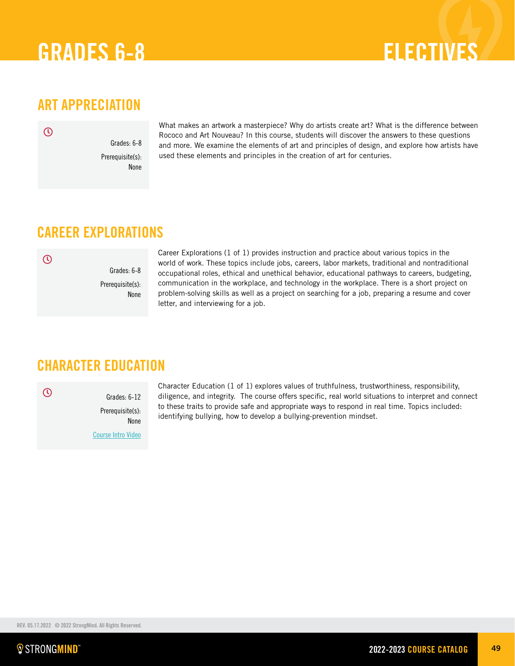# GRADES 6-8 ELECTIVES

# ART APPRECIATION

 $\odot$ 

Grades: 6-8 Prerequisite(s): None

What makes an artwork a masterpiece? Why do artists create art? What is the difference between Rococo and Art Nouveau? In this course, students will discover the answers to these questions and more. We examine the elements of art and principles of design, and explore how artists have used these elements and principles in the creation of art for centuries.

# CAREER EXPLORATIONS

 $\odot$ 

Grades: 6-8 Prerequisite(s): None Career Explorations (1 of 1) provides instruction and practice about various topics in the world of work. These topics include jobs, careers, labor markets, traditional and nontraditional occupational roles, ethical and unethical behavior, educational pathways to careers, budgeting, communication in the workplace, and technology in the workplace. There is a short project on problem-solving skills as well as a project on searching for a job, preparing a resume and cover letter, and interviewing for a job.

# CHARACTER EDUCATION

 $\odot$ 

Grades: 6-12 Prerequisite(s): None [Course Intro Video](https://vimeo.com/305845875)

Character Education (1 of 1) explores values of truthfulness, trustworthiness, responsibility, diligence, and integrity. The course offers specific, real world situations to interpret and connect to these traits to provide safe and appropriate ways to respond in real time. Topics included: identifying bullying, how to develop a bullying-prevention mindset.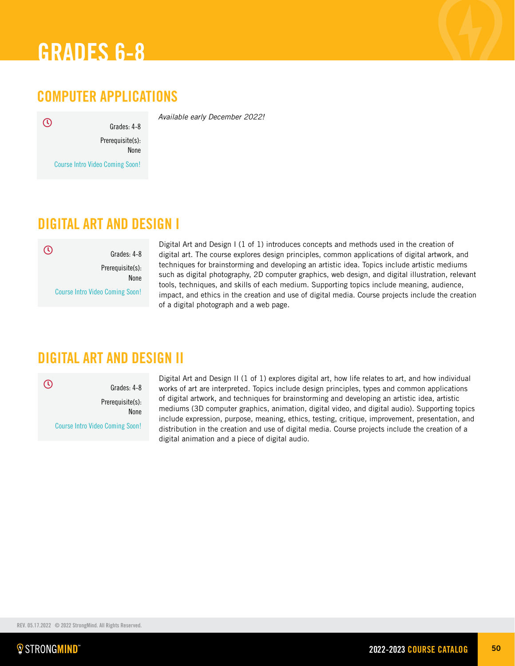

# COMPUTER APPLICATIONS

*Available early December 2022!*

 $\odot$ 

Prerequisite(s): None

Grades: 4-8

Course Intro Video Coming Soon!

# DIGITAL ART AND DESIGN I

Grades: 4-8 Prerequisite(s): None Course Intro Video Coming Soon!  $\odot$ 

Digital Art and Design I (1 of 1) introduces concepts and methods used in the creation of digital art. The course explores design principles, common applications of digital artwork, and techniques for brainstorming and developing an artistic idea. Topics include artistic mediums such as digital photography, 2D computer graphics, web design, and digital illustration, relevant tools, techniques, and skills of each medium. Supporting topics include meaning, audience, impact, and ethics in the creation and use of digital media. Course projects include the creation of a digital photograph and a web page.

# DIGITAL ART AND DESIGN II

 $\odot$ 

Grades: 4-8 Prerequisite(s): None Course Intro Video Coming Soon!

Digital Art and Design II (1 of 1) explores digital art, how life relates to art, and how individual works of art are interpreted. Topics include design principles, types and common applications of digital artwork, and techniques for brainstorming and developing an artistic idea, artistic mediums (3D computer graphics, animation, digital video, and digital audio). Supporting topics include expression, purpose, meaning, ethics, testing, critique, improvement, presentation, and distribution in the creation and use of digital media. Course projects include the creation of a digital animation and a piece of digital audio.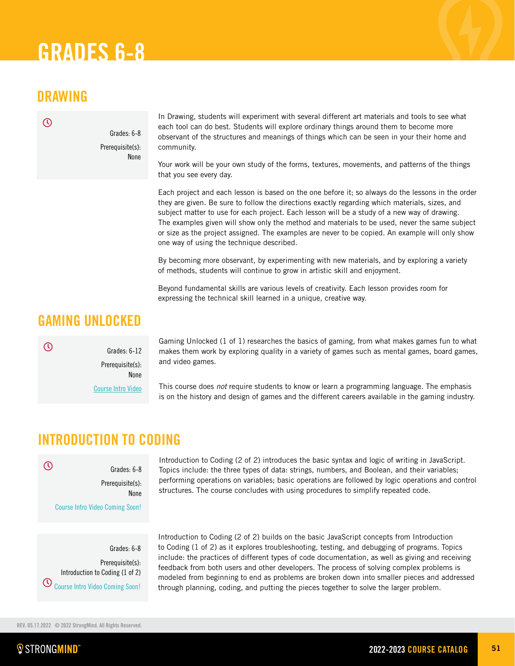# DRAWING

 $\mathcal{O}$ 

Grades: 6-8 Prerequisite(s): None

In Drawing, students will experiment with several different art materials and tools to see what each tool can do best. Students will explore ordinary things around them to become more observant of the structures and meanings of things which can be seen in your their home and community.

Your work will be your own study of the forms, textures, movements, and patterns of the things that you see every day.

Each project and each lesson is based on the one before it; so always do the lessons in the order they are given. Be sure to follow the directions exactly regarding which materials, sizes, and subject matter to use for each project. Each lesson will be a study of a new way of drawing. The examples given will show only the method and materials to be used, never the same subject or size as the project assigned. The examples are never to be copied. An example will only show one way of using the technique described.

By becoming more observant, by experimenting with new materials, and by exploring a variety of methods, students will continue to grow in artistic skill and enjoyment.

Beyond fundamental skills are various levels of creativity. Each lesson provides room for expressing the technical skill learned in a unique, creative way.

# GAMING UNLOCKED

 $\odot$ 

Prerequisite(s): None

Grades: 6-12

[Course Intro Video](https://vimeo.com/248232730)

Gaming Unlocked (1 of 1) researches the basics of gaming, from what makes games fun to what makes them work by exploring quality in a variety of games such as mental games, board games, and video games.

This course does *not* require students to know or learn a programming language. The emphasis is on the history and design of games and the different careers available in the gaming industry.

# INTRODUCTION TO CODING

Grades: 6-8 Prerequisite(s): None

 $\overline{O}$ 

Course Intro Video Coming Soon!

Grades: 6-8 Prerequisite(s): Introduction to Coding (1 of 2) Course Intro Video Coming Soon!

Introduction to Coding (2 of 2) introduces the basic syntax and logic of writing in JavaScript. Topics include: the three types of data: strings, numbers, and Boolean, and their variables; performing operations on variables; basic operations are followed by logic operations and control structures. The course concludes with using procedures to simplify repeated code.

Introduction to Coding (2 of 2) builds on the basic JavaScript concepts from Introduction to Coding (1 of 2) as it explores troubleshooting, testing, and debugging of programs. Topics include: the practices of different types of code documentation, as well as giving and receiving feedback from both users and other developers. The process of solving complex problems is modeled from beginning to end as problems are broken down into smaller pieces and addressed through planning, coding, and putting the pieces together to solve the larger problem.

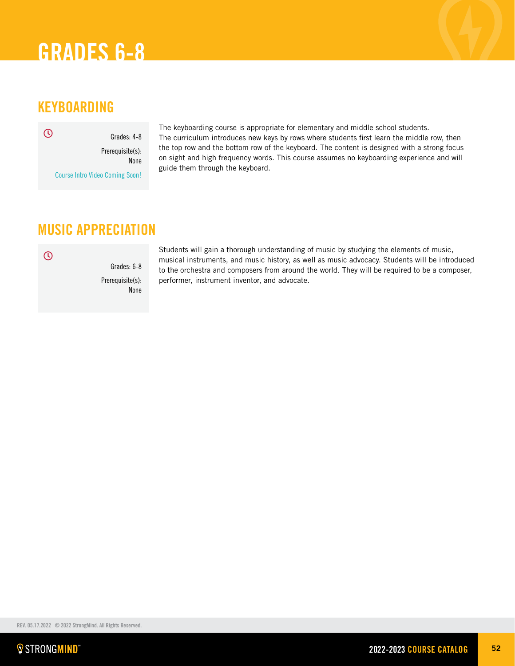# KEYBOARDING

Grades: 4-8 Prerequisite(s): None Course Intro Video Coming Soon!  $\odot$ 

The keyboarding course is appropriate for elementary and middle school students. The curriculum introduces new keys by rows where students first learn the middle row, then the top row and the bottom row of the keyboard. The content is designed with a strong focus on sight and high frequency words. This course assumes no keyboarding experience and will guide them through the keyboard.

# MUSIC APPRECIATION

 $\overline{O}$ 

Grades: 6-8 Prerequisite(s): None

Students will gain a thorough understanding of music by studying the elements of music, musical instruments, and music history, as well as music advocacy. Students will be introduced to the orchestra and composers from around the world. They will be required to be a composer, performer, instrument inventor, and advocate.

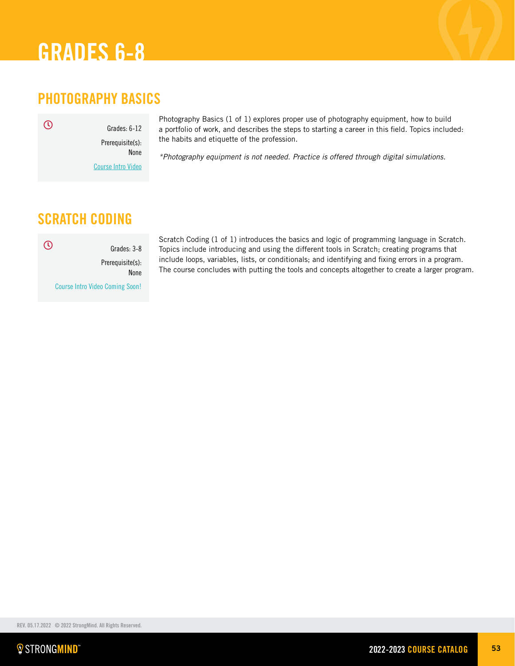# PHOTOGRAPHY BASICS

Grades: 6-12 Prerequisite(s): None

 $\odot$ 

[Course Intro Video](https://vimeo.com/280382232)

Photography Basics (1 of 1) explores proper use of photography equipment, how to build a portfolio of work, and describes the steps to starting a career in this field. Topics included: the habits and etiquette of the profession.

*\*Photography equipment is not needed. Practice is offered through digital simulations.*

## SCRATCH CODING

Grades: 3-8 Prerequisite(s): None  $\odot$ 

Course Intro Video Coming Soon!

Scratch Coding (1 of 1) introduces the basics and logic of programming language in Scratch. Topics include introducing and using the different tools in Scratch; creating programs that include loops, variables, lists, or conditionals; and identifying and fixing errors in a program. The course concludes with putting the tools and concepts altogether to create a larger program.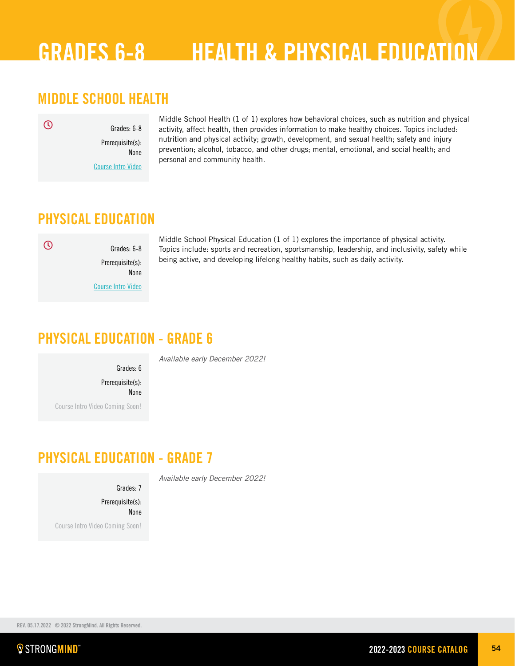# GRADES 6-8 HEALTH & PHYSICAL EDUCATION

# MIDDLE SCHOOL HEALTH

Grades: 6-8 Prerequisite(s):

[Course Intro Video](https://vimeo.com/297775753)

None

Middle School Health (1 of 1) explores how behavioral choices, such as nutrition and physical activity, affect health, then provides information to make healthy choices. Topics included: nutrition and physical activity; growth, development, and sexual health; safety and injury prevention; alcohol, tobacco, and other drugs; mental, emotional, and social health; and personal and community health.

## PHYSICAL EDUCATION

## $\odot$

 $\odot$ 

Grades: 6-8 Prerequisite(s): None [Course Intro Video](https://vimeo.com/347584744)

Middle School Physical Education (1 of 1) explores the importance of physical activity. Topics include: sports and recreation, sportsmanship, leadership, and inclusivity, safety while being active, and developing lifelong healthy habits, such as daily activity.

# PHYSICAL EDUCATION - GRADE 6

*Available early December 2022!*

*Available early December 2022!*

Grades: 6 Prerequisite(s): None Course Intro Video Coming Soon!

# PHYSICAL EDUCATION - GRADE 7

Grades: 7

Prerequisite(s): None

Course Intro Video Coming Soon!

REV. 05.17.2022 © 2022 StrongMind. All Rights Reserved.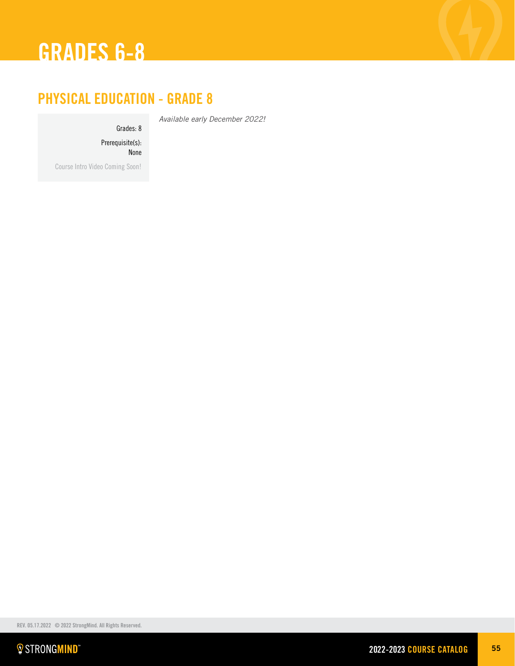

# PHYSICAL EDUCATION - GRADE 8

Grades: 8

*Available early December 2022!*

Prerequisite(s): None

Course Intro Video Coming Soon!

REV. 05.17.2022 © 2022 StrongMind. All Rights Reserved.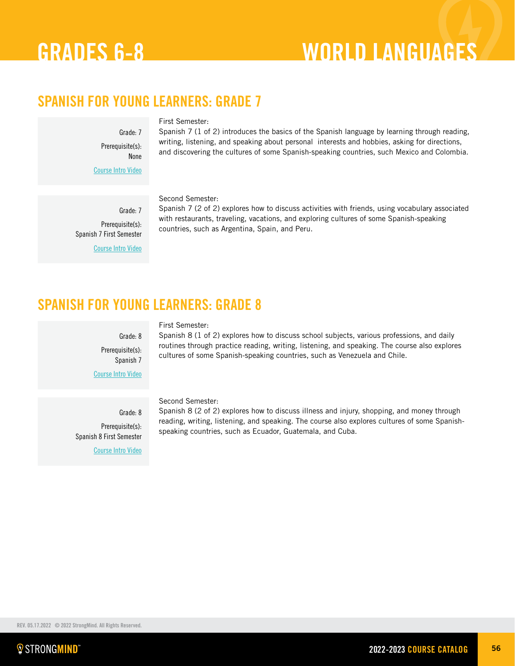# GRADES 6-8 WORLD LANGUAGES

# SPANISH FOR YOUNG LEARNERS: GRADE 7

Grade: 7 Prerequisite(s): None

Spanish 7 (1 of 2) introduces the basics of the Spanish language by learning through reading, writing, listening, and speaking about personal interests and hobbies, asking for directions, and discovering the cultures of some Spanish-speaking countries, such Mexico and Colombia.

Grade: 7 Prerequisite(s): Spanish 7 First Semester

[Course Intro Video](https://vimeo.com/280381774)

[Course Intro Video](https://vimeo.com/271174741)

## Second Semester:

First Semester:

Spanish 7 (2 of 2) explores how to discuss activities with friends, using vocabulary associated with restaurants, traveling, vacations, and exploring cultures of some Spanish-speaking countries, such as Argentina, Spain, and Peru.

## SPANISH FOR YOUNG LEARNERS: GRADE 8

## First Semester:

Spanish 8 (1 of 2) explores how to discuss school subjects, various professions, and daily routines through practice reading, writing, listening, and speaking. The course also explores cultures of some Spanish-speaking countries, such as Venezuela and Chile.

[Course Intro Video](https://vimeo.com/293979601)

Grade: 8 Prerequisite(s): Spanish 7

Grade: 8 Prerequisite(s): Spanish 8 First Semester

[Course Intro Video](https://vimeo.com/296073732)

## Second Semester:

Spanish 8 (2 of 2) explores how to discuss illness and injury, shopping, and money through reading, writing, listening, and speaking. The course also explores cultures of some Spanishspeaking countries, such as Ecuador, Guatemala, and Cuba.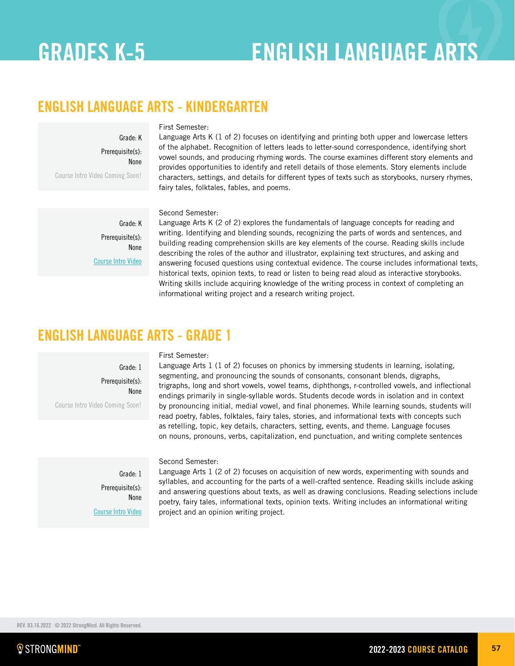# GRADES K-5 ENGLISH LANGUAGE ARTS

# ENGLISH LANGUAGE ARTS - KINDERGARTEN

Grade: K Prerequisite(s): None Course Intro Video Coming Soon!

### First Semester:

Language Arts K (1 of 2) focuses on identifying and printing both upper and lowercase letters of the alphabet. Recognition of letters leads to letter-sound correspondence, identifying short vowel sounds, and producing rhyming words. The course examines different story elements and provides opportunities to identify and retell details of those elements. Story elements include characters, settings, and details for different types of texts such as storybooks, nursery rhymes, fairy tales, folktales, fables, and poems.

Grade: K Prerequisite(s): None [Course Intro Video](https://player.vimeo.com/video/652092124?h=fc91b912f4)

## Second Semester:

Language Arts K (2 of 2) explores the fundamentals of language concepts for reading and writing. Identifying and blending sounds, recognizing the parts of words and sentences, and building reading comprehension skills are key elements of the course. Reading skills include describing the roles of the author and illustrator, explaining text structures, and asking and answering focused questions using contextual evidence. The course includes informational texts, historical texts, opinion texts, to read or listen to being read aloud as interactive storybooks. Writing skills include acquiring knowledge of the writing process in context of completing an informational writing project and a research writing project.

## ENGLISH LANGUAGE ARTS - GRADE 1

## First Semester:

Grade: 1 Prerequisite(s): None Course Intro Video Coming Soon!

Language Arts 1 (1 of 2) focuses on phonics by immersing students in learning, isolating, segmenting, and pronouncing the sounds of consonants, consonant blends, digraphs, trigraphs, long and short vowels, vowel teams, diphthongs, r-controlled vowels, and inflectional endings primarily in single-syllable words. Students decode words in isolation and in context by pronouncing initial, medial vowel, and final phonemes. While learning sounds, students will read poetry, fables, folktales, fairy tales, stories, and informational texts with concepts such as retelling, topic, key details, characters, setting, events, and theme. Language focuses on nouns, pronouns, verbs, capitalization, end punctuation, and writing complete sentences

Grade: 1 Prerequisite(s): None [Course Intro Video](https://player.vimeo.com/video/651198078?h=e631397d46)

### Second Semester:

Language Arts 1 (2 of 2) focuses on acquisition of new words, experimenting with sounds and syllables, and accounting for the parts of a well-crafted sentence. Reading skills include asking and answering questions about texts, as well as drawing conclusions. Reading selections include poetry, fairy tales, informational texts, opinion texts. Writing includes an informational writing project and an opinion writing project.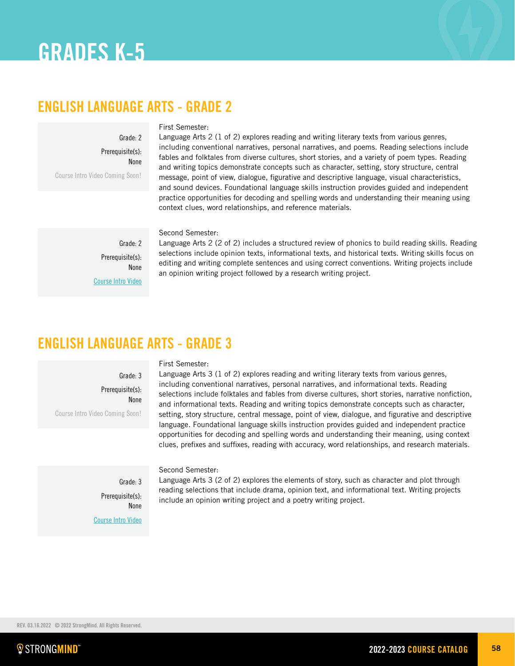# ENGLISH LANGUAGE ARTS - GRADE 2

Grade: 2 Prerequisite(s): None

Course Intro Video Coming Soon!

### First Semester:

Language Arts 2 (1 of 2) explores reading and writing literary texts from various genres, including conventional narratives, personal narratives, and poems. Reading selections include fables and folktales from diverse cultures, short stories, and a variety of poem types. Reading and writing topics demonstrate concepts such as character, setting, story structure, central message, point of view, dialogue, figurative and descriptive language, visual characteristics, and sound devices. Foundational language skills instruction provides guided and independent practice opportunities for decoding and spelling words and understanding their meaning using context clues, word relationships, and reference materials.

Second Semester:

Grade: 2 Prerequisite(s): None [Course Intro Video](https://vimeo.com/user62359637/review/639851167/c426ae60a0)

Language Arts 2 (2 of 2) includes a structured review of phonics to build reading skills. Reading selections include opinion texts, informational texts, and historical texts. Writing skills focus on editing and writing complete sentences and using correct conventions. Writing projects include an opinion writing project followed by a research writing project.

# ENGLISH LANGUAGE ARTS - GRADE 3

Grade: 3 Prerequisite(s): None Course Intro Video Coming Soon!

### First Semester:

Language Arts 3 (1 of 2) explores reading and writing literary texts from various genres, including conventional narratives, personal narratives, and informational texts. Reading selections include folktales and fables from diverse cultures, short stories, narrative nonfiction, and informational texts. Reading and writing topics demonstrate concepts such as character, setting, story structure, central message, point of view, dialogue, and figurative and descriptive language. Foundational language skills instruction provides guided and independent practice opportunities for decoding and spelling words and understanding their meaning, using context clues, prefixes and suffixes, reading with accuracy, word relationships, and research materials.

Grade: 3 Prerequisite(s): None [Course Intro Video](https://vimeo.com/652094250)

Second Semester:

Language Arts 3 (2 of 2) explores the elements of story, such as character and plot through reading selections that include drama, opinion text, and informational text. Writing projects include an opinion writing project and a poetry writing project.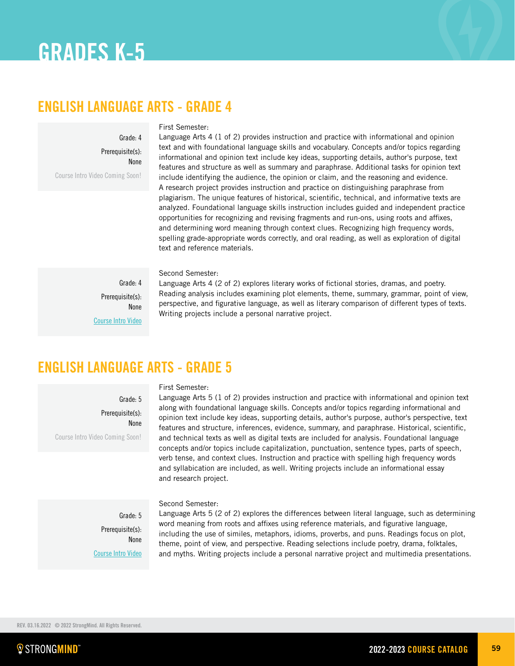## ENGLISH LANGUAGE ARTS - GRADE 4

Grade: 4 Prerequisite(s): None

Course Intro Video Coming Soon!

### First Semester:

Language Arts 4 (1 of 2) provides instruction and practice with informational and opinion text and with foundational language skills and vocabulary. Concepts and/or topics regarding informational and opinion text include key ideas, supporting details, author's purpose, text features and structure as well as summary and paraphrase. Additional tasks for opinion text include identifying the audience, the opinion or claim, and the reasoning and evidence. A research project provides instruction and practice on distinguishing paraphrase from plagiarism. The unique features of historical, scientific, technical, and informative texts are analyzed. Foundational language skills instruction includes guided and independent practice opportunities for recognizing and revising fragments and run-ons, using roots and affixes, and determining word meaning through context clues. Recognizing high frequency words, spelling grade-appropriate words correctly, and oral reading, as well as exploration of digital text and reference materials.

Second Semester:

Grade: 4 Prerequisite(s): None [Course Intro Video](https://vimeo.com/642423583)

Language Arts 4 (2 of 2) explores literary works of fictional stories, dramas, and poetry. Reading analysis includes examining plot elements, theme, summary, grammar, point of view, perspective, and figurative language, as well as literary comparison of different types of texts. Writing projects include a personal narrative project.

# ENGLISH LANGUAGE ARTS - GRADE 5

First Semester:

Grade: 5

Prerequisite(s):

None

Course Intro Video Coming Soon!

Language Arts 5 (1 of 2) provides instruction and practice with informational and opinion text along with foundational language skills. Concepts and/or topics regarding informational and opinion text include key ideas, supporting details, author's purpose, author's perspective, text features and structure, inferences, evidence, summary, and paraphrase. Historical, scientific, and technical texts as well as digital texts are included for analysis. Foundational language concepts and/or topics include capitalization, punctuation, sentence types, parts of speech, verb tense, and context clues. Instruction and practice with spelling high frequency words and syllabication are included, as well. Writing projects include an informational essay and research project.

Grade: 5 Prerequisite(s): None [Course Intro Video](https://vimeo.com/651220133)

### Second Semester:

Language Arts 5 (2 of 2) explores the differences between literal language, such as determining word meaning from roots and affixes using reference materials, and figurative language, including the use of similes, metaphors, idioms, proverbs, and puns. Readings focus on plot, theme, point of view, and perspective. Reading selections include poetry, drama, folktales, and myths. Writing projects include a personal narrative project and multimedia presentations.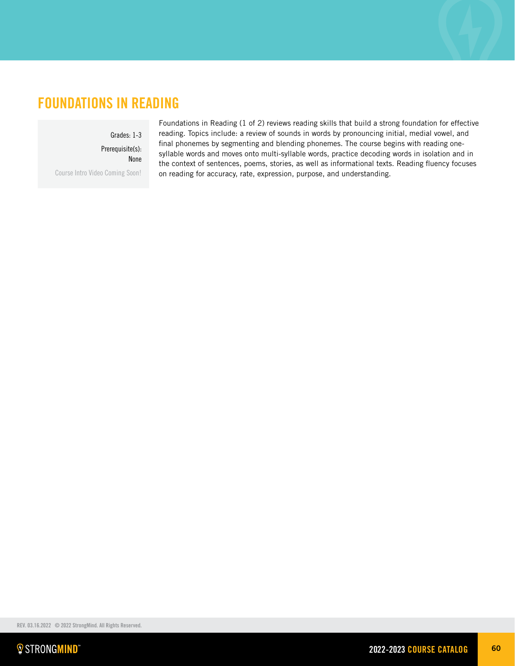## FOUNDATIONS IN READING

## Grades: 1-3

Prerequisite(s): None

Course Intro Video Coming Soon!

Foundations in Reading (1 of 2) reviews reading skills that build a strong foundation for effective reading. Topics include: a review of sounds in words by pronouncing initial, medial vowel, and final phonemes by segmenting and blending phonemes. The course begins with reading onesyllable words and moves onto multi-syllable words, practice decoding words in isolation and in the context of sentences, poems, stories, as well as informational texts. Reading fluency focuses on reading for accuracy, rate, expression, purpose, and understanding.

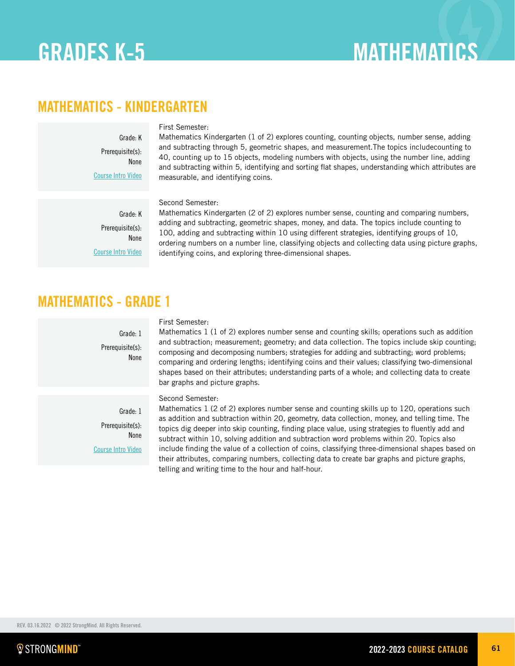# MATHEMATICS - KINDERGARTEN

Grade: K Prerequisite(s): None [Course Intro Video](https://vimeo.com/user62359637/review/556024285/f5e2a9ae8f)

## First Semester:

Mathematics Kindergarten (1 of 2) explores counting, counting objects, number sense, adding and subtracting through 5, geometric shapes, and measurement.The topics includecounting to 40, counting up to 15 objects, modeling numbers with objects, using the number line, adding and subtracting within 5, identifying and sorting flat shapes, understanding which attributes are measurable, and identifying coins.

Grade: K Prerequisite(s): None [Course Intro Video](https://vimeo.com/652139737)

## Second Semester:

Mathematics Kindergarten (2 of 2) explores number sense, counting and comparing numbers, adding and subtracting, geometric shapes, money, and data. The topics include counting to 100, adding and subtracting within 10 using different strategies, identifying groups of 10, ordering numbers on a number line, classifying objects and collecting data using picture graphs, identifying coins, and exploring three-dimensional shapes.

## MATHEMATICS - GRADE 1

Grade: 1 Prerequisite(s): None

## First Semester:

Mathematics 1 (1 of 2) explores number sense and counting skills; operations such as addition and subtraction; measurement; geometry; and data collection. The topics include skip counting; composing and decomposing numbers; strategies for adding and subtracting; word problems; comparing and ordering lengths; identifying coins and their values; classifying two-dimensional shapes based on their attributes; understanding parts of a whole; and collecting data to create bar graphs and picture graphs.

Second Semester:

Grade: 1 Prerequisite(s): None [Course Intro Video](https://vimeo.com/649217613/5d663ded42)

Mathematics 1 (2 of 2) explores number sense and counting skills up to 120, operations such as addition and subtraction within 20, geometry, data collection, money, and telling time. The topics dig deeper into skip counting, finding place value, using strategies to fluently add and subtract within 10, solving addition and subtraction word problems within 20. Topics also include finding the value of a collection of coins, classifying three-dimensional shapes based on their attributes, comparing numbers, collecting data to create bar graphs and picture graphs, telling and writing time to the hour and half-hour.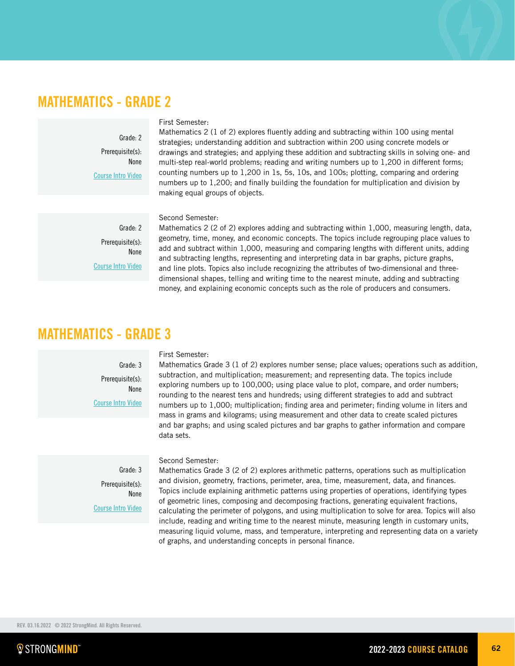## MATHEMATICS - GRADE 2

Grade: 2 Prerequisite(s): None [Course Intro Video](https://vimeo.com/strongmindlearning/review/569899933/82877903c5)

### First Semester:

Mathematics 2 (1 of 2) explores fluently adding and subtracting within 100 using mental strategies; understanding addition and subtraction within 200 using concrete models or drawings and strategies; and applying these addition and subtracting skills in solving one- and multi-step real-world problems; reading and writing numbers up to 1,200 in different forms; counting numbers up to 1,200 in 1s, 5s, 10s, and 100s; plotting, comparing and ordering numbers up to 1,200; and finally building the foundation for multiplication and division by making equal groups of objects.

Grade: 2 Prerequisite(s): None [Course Intro Video](https://vimeo.com/652626644)

## Second Semester:

Mathematics 2 (2 of 2) explores adding and subtracting within 1,000, measuring length, data, geometry, time, money, and economic concepts. The topics include regrouping place values to add and subtract within 1,000, measuring and comparing lengths with different units, adding and subtracting lengths, representing and interpreting data in bar graphs, picture graphs, and line plots. Topics also include recognizing the attributes of two-dimensional and threedimensional shapes, telling and writing time to the nearest minute, adding and subtracting money, and explaining economic concepts such as the role of producers and consumers.

## MATHEMATICS - GRADE 3

## Grade: 3 Prerequisite(s): None [Course Intro Video](https://vimeo.com/strongmindlearning/review/569622590/9397a44c46)

### First Semester:

Mathematics Grade 3 (1 of 2) explores number sense; place values; operations such as addition, subtraction, and multiplication; measurement; and representing data. The topics include exploring numbers up to 100,000; using place value to plot, compare, and order numbers; rounding to the nearest tens and hundreds; using different strategies to add and subtract numbers up to 1,000; multiplication; finding area and perimeter; finding volume in liters and mass in grams and kilograms; using measurement and other data to create scaled pictures and bar graphs; and using scaled pictures and bar graphs to gather information and compare data sets.

Grade: 3 Prerequisite(s): None [Course Intro Video](https://vimeo.com/652696661)

### Second Semester:

Mathematics Grade 3 (2 of 2) explores arithmetic patterns, operations such as multiplication and division, geometry, fractions, perimeter, area, time, measurement, data, and finances. Topics include explaining arithmetic patterns using properties of operations, identifying types of geometric lines, composing and decomposing fractions, generating equivalent fractions, calculating the perimeter of polygons, and using multiplication to solve for area. Topics will also include, reading and writing time to the nearest minute, measuring length in customary units, measuring liquid volume, mass, and temperature, interpreting and representing data on a variety of graphs, and understanding concepts in personal finance.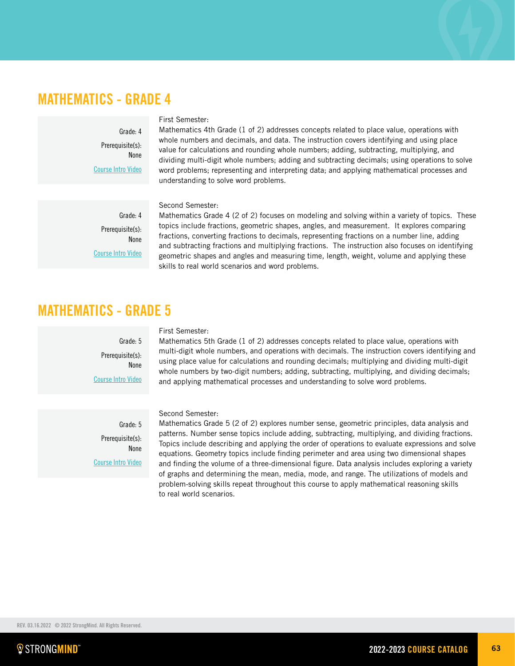## MATHEMATICS - GRADE 4

Grade: 4 Prerequisite(s): None [Course Intro Video](https://vimeo.com/strongmindlearning/review/570068844/2a1c9017fc)

## First Semester:

Mathematics 4th Grade (1 of 2) addresses concepts related to place value, operations with whole numbers and decimals, and data. The instruction covers identifying and using place value for calculations and rounding whole numbers; adding, subtracting, multiplying, and dividing multi-digit whole numbers; adding and subtracting decimals; using operations to solve word problems; representing and interpreting data; and applying mathematical processes and understanding to solve word problems.

Grade: 4 Prerequisite(s): None [Course Intro Video](https://vimeo.com/652116288)

## Second Semester:

Mathematics Grade 4 (2 of 2) focuses on modeling and solving within a variety of topics. These topics include fractions, geometric shapes, angles, and measurement. It explores comparing fractions, converting fractions to decimals, representing fractions on a number line, adding and subtracting fractions and multiplying fractions. The instruction also focuses on identifying geometric shapes and angles and measuring time, length, weight, volume and applying these skills to real world scenarios and word problems.

## MATHEMATICS - GRADE 5

Grade: 5 Prerequisite(s): None [Course Intro Video](https://vimeo.com/strongmindlearning/review/570357924/d6eec008b6)

### First Semester:

Mathematics 5th Grade (1 of 2) addresses concepts related to place value, operations with multi-digit whole numbers, and operations with decimals. The instruction covers identifying and using place value for calculations and rounding decimals; multiplying and dividing multi-digit whole numbers by two-digit numbers; adding, subtracting, multiplying, and dividing decimals; and applying mathematical processes and understanding to solve word problems.

Second Semester:

Grade: 5 Prerequisite(s): None [Course Intro Video](https://vimeo.com/652140382)

Mathematics Grade 5 (2 of 2) explores number sense, geometric principles, data analysis and patterns. Number sense topics include adding, subtracting, multiplying, and dividing fractions. Topics include describing and applying the order of operations to evaluate expressions and solve equations. Geometry topics include finding perimeter and area using two dimensional shapes and finding the volume of a three-dimensional figure. Data analysis includes exploring a variety of graphs and determining the mean, media, mode, and range. The utilizations of models and problem-solving skills repeat throughout this course to apply mathematical reasoning skills to real world scenarios.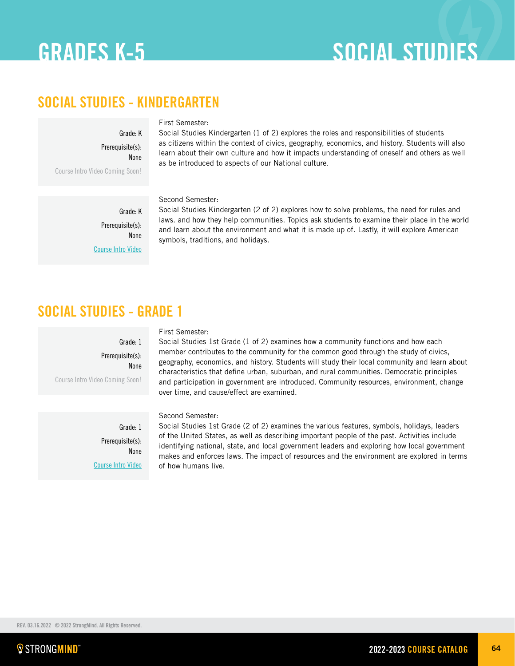# SOCIAL STUDIES - KINDERGARTEN

Grade: K

First Semester:

Prerequisite(s): None Course Intro Video Coming Soon!

Social Studies Kindergarten (1 of 2) explores the roles and responsibilities of students as citizens within the context of civics, geography, economics, and history. Students will also learn about their own culture and how it impacts understanding of oneself and others as well as be introduced to aspects of our National culture.

Grade: K Prerequisite(s): None [Course Intro Video](https://vimeo.com/652629570)

## Second Semester:

Social Studies Kindergarten (2 of 2) explores how to solve problems, the need for rules and laws. and how they help communities. Topics ask students to examine their place in the world and learn about the environment and what it is made up of. Lastly, it will explore American symbols, traditions, and holidays.

# SOCIAL STUDIES - GRADE 1

Grade: 1 Prerequisite(s): None Course Intro Video Coming Soon!

> Grade: 1 Prerequisite(s): None [Course Intro Video](https://vimeo.com/649234107)

### First Semester:

Social Studies 1st Grade (1 of 2) examines how a community functions and how each member contributes to the community for the common good through the study of civics, geography, economics, and history. Students will study their local community and learn about characteristics that define urban, suburban, and rural communities. Democratic principles and participation in government are introduced. Community resources, environment, change over time, and cause/effect are examined.

## Second Semester:

Social Studies 1st Grade (2 of 2) examines the various features, symbols, holidays, leaders of the United States, as well as describing important people of the past. Activities include identifying national, state, and local government leaders and exploring how local government makes and enforces laws. The impact of resources and the environment are explored in terms of how humans live.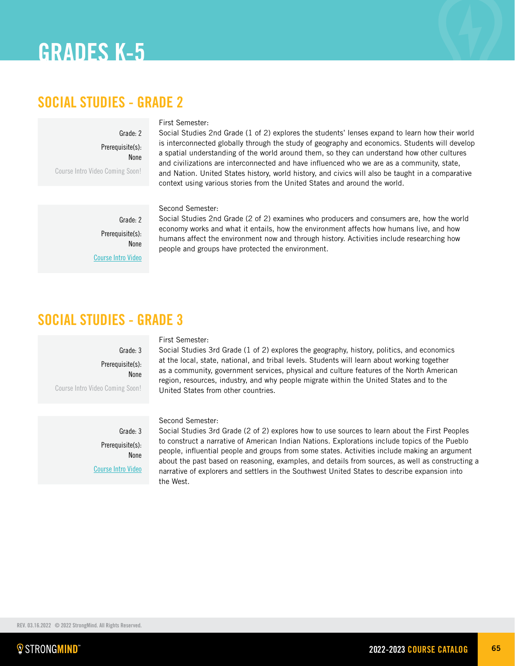## SOCIAL STUDIES - GRADE 2

Grade: 2

First Semester:

Prerequisite(s): None Course Intro Video Coming Soon!

Social Studies 2nd Grade (1 of 2) explores the students' lenses expand to learn how their world is interconnected globally through the study of geography and economics. Students will develop a spatial understanding of the world around them, so they can understand how other cultures and civilizations are interconnected and have influenced who we are as a community, state, and Nation. United States history, world history, and civics will also be taught in a comparative context using various stories from the United States and around the world.

Grade: 2 Prerequisite(s): None [Course Intro Video](https://vimeo.com/649154076)

Social Studies 2nd Grade (2 of 2) examines who producers and consumers are, how the world economy works and what it entails, how the environment affects how humans live, and how humans affect the environment now and through history. Activities include researching how people and groups have protected the environment.

# SOCIAL STUDIES - GRADE 3

## Grade: 3 Prerequisite(s): None

Course Intro Video Coming Soon!

Grade: 3 Prerequisite(s): None [Course Intro Video](https://vimeo.com/652103187)

## First Semester:

Second Semester:

Social Studies 3rd Grade (1 of 2) explores the geography, history, politics, and economics at the local, state, national, and tribal levels. Students will learn about working together as a community, government services, physical and culture features of the North American region, resources, industry, and why people migrate within the United States and to the United States from other countries.

Second Semester:

Social Studies 3rd Grade (2 of 2) explores how to use sources to learn about the First Peoples to construct a narrative of American Indian Nations. Explorations include topics of the Pueblo people, influential people and groups from some states. Activities include making an argument about the past based on reasoning, examples, and details from sources, as well as constructing a narrative of explorers and settlers in the Southwest United States to describe expansion into the West.

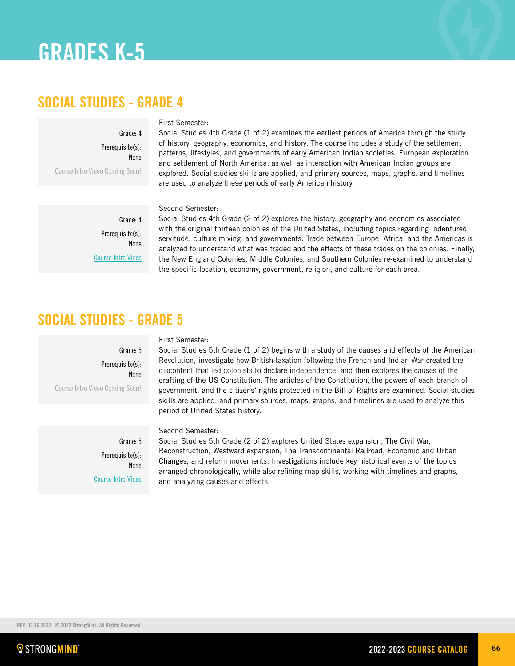## SOCIAL STUDIES - GRADE 4

First Semester:

Prerequisite(s): None Course Intro Video Coming Soon!

Social Studies 4th Grade (1 of 2) examines the earliest periods of America through the study of history, geography, economics, and history. The course includes a study of the settlement patterns, lifestyles, and governments of early American Indian societies. European exploration and settlement of North America, as well as interaction with American Indian groups are explored. Social studies skills are applied, and primary sources, maps, graphs, and timelines are used to analyze these periods of early American history.

Grade: 4 Prerequisite(s): None

Grade: 4

[Course Intro Video](https://vimeo.com/651210700)

## Second Semester:

Social Studies 4th Grade (2 of 2) explores the history, geography and economics associated with the original thirteen colonies of the United States, including topics regarding indentured servitude, culture mixing, and governments. Trade between Europe, Africa, and the Americas is analyzed to understand what was traded and the effects of these trades on the colonies. Finally, the New England Colonies, Middle Colonies, and Southern Colonies re-examined to understand the specific location, economy, government, religion, and culture for each area.

## SOCIAL STUDIES - GRADE 5

## Grade: 5 Prerequisite(s): None

Course Intro Video Coming Soon!

## First Semester:

Social Studies 5th Grade (1 of 2) begins with a study of the causes and effects of the American Revolution, investigate how British taxation following the French and Indian War created the discontent that led colonists to declare independence, and then explores the causes of the drafting of the US Constitution. The articles of the Constitution, the powers of each branch of government, and the citizens' rights protected in the Bill of Rights are examined. Social studies skills are applied, and primary sources, maps, graphs, and timelines are used to analyze this period of United States history.

Second Semester:

Grade: 5 Prerequisite(s): None [Course Intro Video](https://vimeo.com/651204639)

Social Studies 5th Grade (2 of 2) explores United States expansion, The Civil War, Reconstruction, Westward expansion, The Transcontinental Railroad, Economic and Urban Changes, and reform movements. Investigations include key historical events of the topics arranged chronologically, while also refining map skills, working with timelines and graphs, and analyzing causes and effects.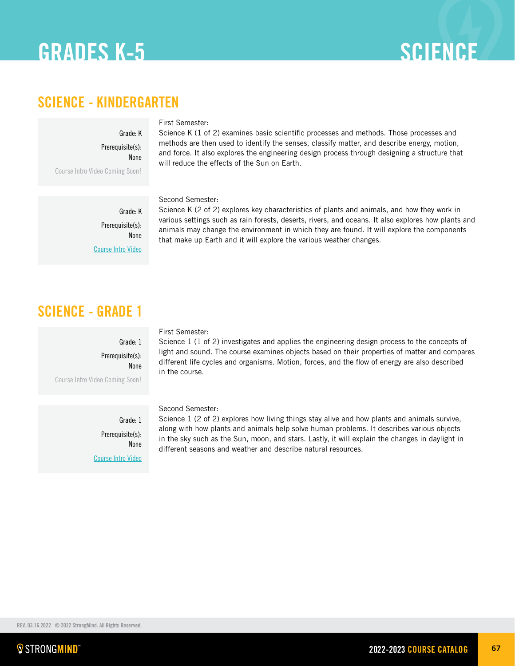# GRADES K-5 SCIENCE

## SCIENCE - KINDERGARTEN

Grade: K

Prerequisite(s): None

Course Intro Video Coming Soon!

## First Semester:

Science K (1 of 2) examines basic scientific processes and methods. Those processes and methods are then used to identify the senses, classify matter, and describe energy, motion, and force. It also explores the engineering design process through designing a structure that will reduce the effects of the Sun on Earth.

Second Semester:

Grade: K Prerequisite(s): None [Course Intro Video](https://vimeo.com/651264652)

Science K (2 of 2) explores key characteristics of plants and animals, and how they work in various settings such as rain forests, deserts, rivers, and oceans. It also explores how plants and animals may change the environment in which they are found. It will explore the components that make up Earth and it will explore the various weather changes.

# SCIENCE - GRADE 1

Grade: 1 Prerequisite(s): None Course Intro Video Coming Soon!

First Semester:

Science 1 (1 of 2) investigates and applies the engineering design process to the concepts of light and sound. The course examines objects based on their properties of matter and compares different life cycles and organisms. Motion, forces, and the flow of energy are also described in the course.

Grade: 1 Prerequisite(s): None [Course Intro Video](https://vimeo.com/652092684)

## Second Semester:

Science 1 (2 of 2) explores how living things stay alive and how plants and animals survive, along with how plants and animals help solve human problems. It describes various objects in the sky such as the Sun, moon, and stars. Lastly, it will explain the changes in daylight in different seasons and weather and describe natural resources.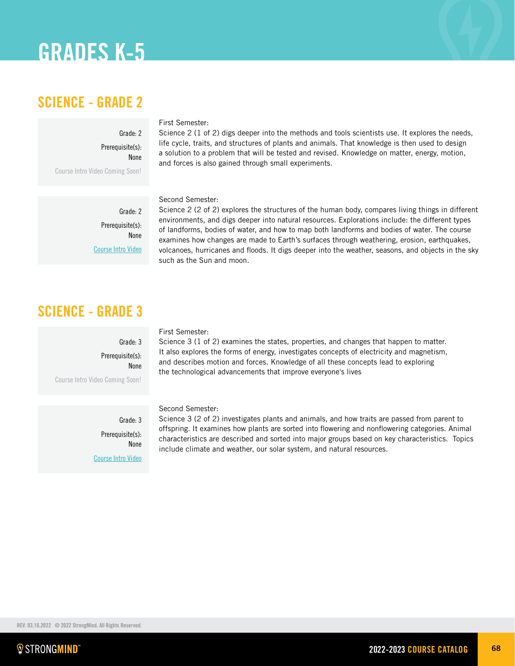# SCIENCE - GRADE 2

Course Intro Video Coming Soon!

## First Semester:

Science 2 (1 of 2) digs deeper into the methods and tools scientists use. It explores the needs, life cycle, traits, and structures of plants and animals. That knowledge is then used to design a solution to a problem that will be tested and revised. Knowledge on matter, energy, motion, and forces is also gained through small experiments.

Grade: 2 Prerequisite(s):

[Course Intro Video](https://vimeo.com/651327030)

None

Grade: 2

Prerequisite(s): None

### Second Semester:

Science 2 (2 of 2) explores the structures of the human body, compares living things in different environments, and digs deeper into natural resources. Explorations include: the different types of landforms, bodies of water, and how to map both landforms and bodies of water. The course examines how changes are made to Earth's surfaces through weathering, erosion, earthquakes, volcanoes, hurricanes and floods. It digs deeper into the weather, seasons, and objects in the sky such as the Sun and moon.

# SCIENCE - GRADE 3

Grade: 3 Prerequisite(s): None Course Intro Video Coming Soon!

> Grade: 3 Prerequisite(s): None [Course Intro Video](https://vimeo.com/651657547)

## First Semester:

Science 3 (1 of 2) examines the states, properties, and changes that happen to matter. It also explores the forms of energy, investigates concepts of electricity and magnetism, and describes motion and forces. Knowledge of all these concepts lead to exploring the technological advancements that improve everyone's lives

### Second Semester:

Science 3 (2 of 2) investigates plants and animals, and how traits are passed from parent to offspring. It examines how plants are sorted into flowering and nonflowering categories. Animal characteristics are described and sorted into major groups based on key characteristics. Topics include climate and weather, our solar system, and natural resources.

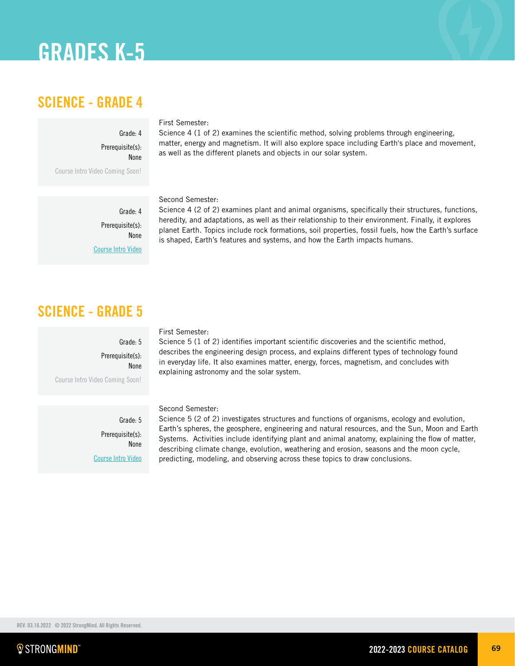# SCIENCE - GRADE 4

## First Semester:

Prerequisite(s): None Course Intro Video Coming Soon!

Grade: 4

Science 4 (1 of 2) examines the scientific method, solving problems through engineering, matter, energy and magnetism. It will also explore space including Earth's place and movement, as well as the different planets and objects in our solar system.

Second Semester: Grade: 4

Prerequisite(s): None [Course Intro Video](https://player.vimeo.com/video/652929443)

Science 4 (2 of 2) examines plant and animal organisms, specifically their structures, functions, heredity, and adaptations, as well as their relationship to their environment. Finally, it explores planet Earth. Topics include rock formations, soil properties, fossil fuels, how the Earth's surface is shaped, Earth's features and systems, and how the Earth impacts humans.

# SCIENCE - GRADE 5

Grade: 5 Prerequisite(s): None Course Intro Video Coming Soon!

> Grade: 5 Prerequisite(s): None [Course Intro Video](https://vimeo.com/652110077)

## First Semester:

Science 5 (1 of 2) identifies important scientific discoveries and the scientific method, describes the engineering design process, and explains different types of technology found in everyday life. It also examines matter, energy, forces, magnetism, and concludes with explaining astronomy and the solar system.

Second Semester:

Science 5 (2 of 2) investigates structures and functions of organisms, ecology and evolution, Earth's spheres, the geosphere, engineering and natural resources, and the Sun, Moon and Earth Systems. Activities include identifying plant and animal anatomy, explaining the flow of matter, describing climate change, evolution, weathering and erosion, seasons and the moon cycle, predicting, modeling, and observing across these topics to draw conclusions.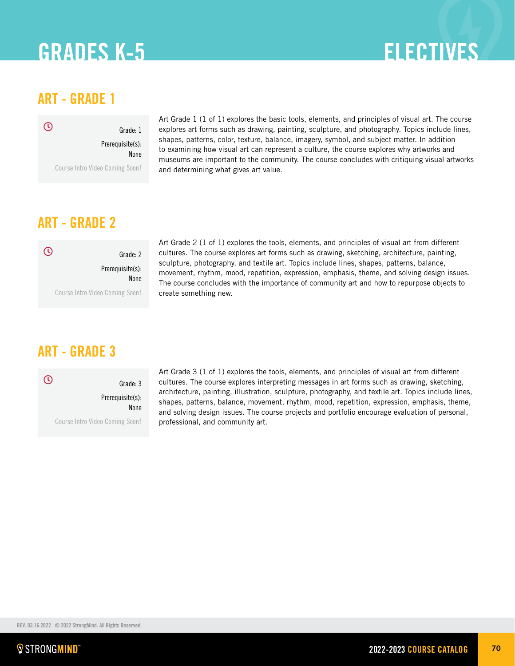# **ELECTIVES**

# ART - GRADE 1



Grade: 1 Prerequisite(s): None

Course Intro Video Coming Soon!

Art Grade 1 (1 of 1) explores the basic tools, elements, and principles of visual art. The course explores art forms such as drawing, painting, sculpture, and photography. Topics include lines, shapes, patterns, color, texture, balance, imagery, symbol, and subject matter. In addition to examining how visual art can represent a culture, the course explores why artworks and museums are important to the community. The course concludes with critiquing visual artworks and determining what gives art value.

# ART - GRADE 2

| Grade: 2                        | $\mathcal{L}$ |
|---------------------------------|---------------|
| Prerequisite(s):<br><b>None</b> |               |
| Course Intro Video Coming Soon! |               |

Art Grade 2 (1 of 1) explores the tools, elements, and principles of visual art from different cultures. The course explores art forms such as drawing, sketching, architecture, painting, sculpture, photography, and textile art. Topics include lines, shapes, patterns, balance, movement, rhythm, mood, repetition, expression, emphasis, theme, and solving design issues. The course concludes with the importance of community art and how to repurpose objects to create something new.

# ART - GRADE 3

Grade: 3 Prerequisite(s): None Course Intro Video Coming Soon!  $\odot$ 

Art Grade 3 (1 of 1) explores the tools, elements, and principles of visual art from different cultures. The course explores interpreting messages in art forms such as drawing, sketching, architecture, painting, illustration, sculpture, photography, and textile art. Topics include lines, shapes, patterns, balance, movement, rhythm, mood, repetition, expression, emphasis, theme, and solving design issues. The course projects and portfolio encourage evaluation of personal, professional, and community art.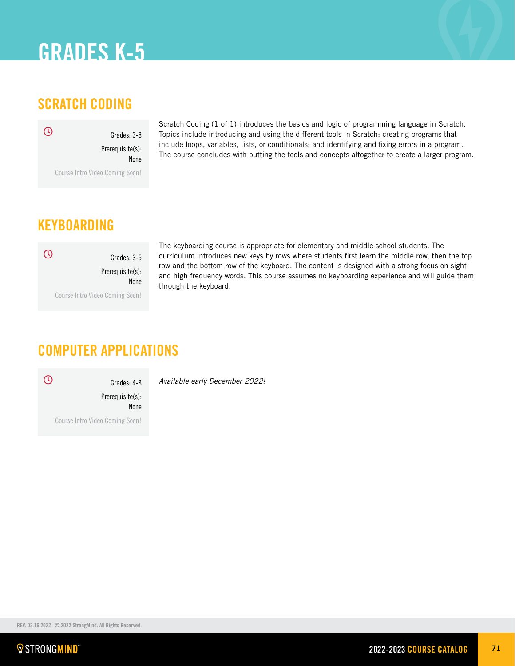# SCRATCH CODING

 $\overline{O}$ 

Prerequisite(s): None

Grades: 3-8

Course Intro Video Coming Soon!

Scratch Coding (1 of 1) introduces the basics and logic of programming language in Scratch. Topics include introducing and using the different tools in Scratch; creating programs that include loops, variables, lists, or conditionals; and identifying and fixing errors in a program. The course concludes with putting the tools and concepts altogether to create a larger program.

# KEYBOARDING



The keyboarding course is appropriate for elementary and middle school students. The curriculum introduces new keys by rows where students first learn the middle row, then the top row and the bottom row of the keyboard. The content is designed with a strong focus on sight and high frequency words. This course assumes no keyboarding experience and will guide them through the keyboard.

# COMPUTER APPLICATIONS

 $\odot$ 

*Available early December 2022!* Grades: 4-8

Prerequisite(s): None Course Intro Video Coming Soon!

REV. 03.16.2022 © 2022 StrongMind. All Rights Reserved.